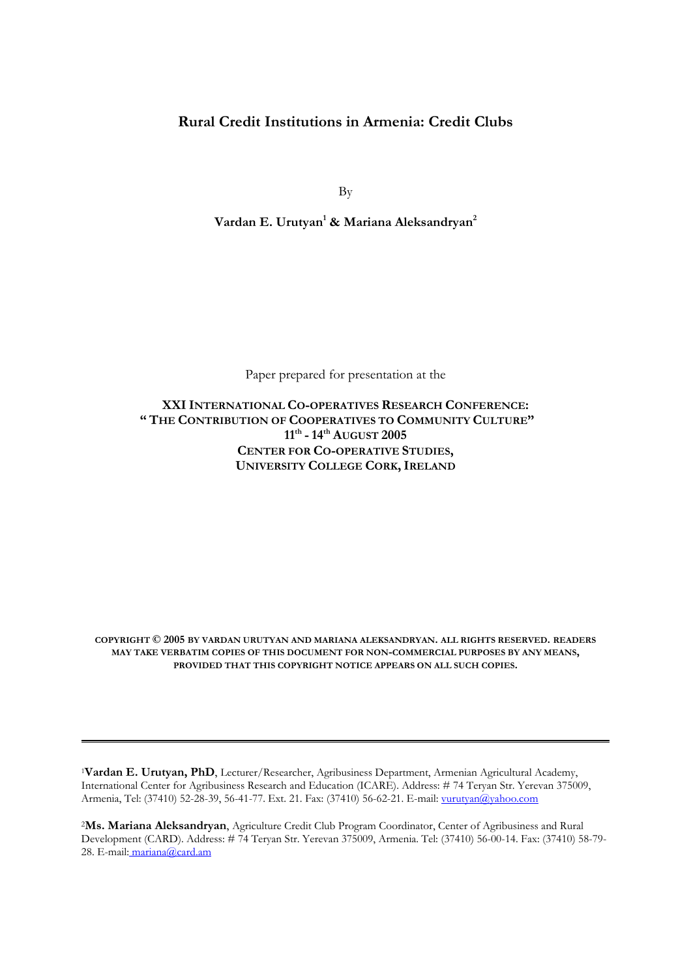# **Rural Credit Institutions in Armenia: Credit Clubs**

By

**Vardan E. Urutyan1 & Mariana Aleksandryan2**

Paper prepared for presentation at the

**XXIINTERNATIONAL CO-OPERATIVES RESEARCH CONFERENCE: " THE CONTRIBUTION OF COOPERATIVES TO COMMUNITY CULTURE" 11th - 14th AUGUST 2005 CENTER FOR CO-OPERATIVE STUDIES, UNIVERSITY COLLEGE CORK, IRELAND** 

**COPYRIGHT © 2005 BY VARDAN URUTYAN AND MARIANA ALEKSANDRYAN. ALL RIGHTS RESERVED. READERS MAY TAKE VERBATIM COPIES OF THIS DOCUMENT FOR NON-COMMERCIAL PURPOSES BY ANY MEANS, PROVIDED THAT THIS COPYRIGHT NOTICE APPEARS ON ALL SUCH COPIES.**

<sup>1</sup>**Vardan E. Urutyan, PhD**, Lecturer/Researcher, Agribusiness Department, Armenian Agricultural Academy, International Center for Agribusiness Research and Education (ICARE). Address: # 74 Teryan Str. Yerevan 375009, Armenia, Tel: (37410) 52-28-39, 56-41-77. Ext. 21. Fax: (37410) 56-62-21. E-mail: vurutyan@yahoo.com

<sup>2</sup>**Ms. Mariana Aleksandryan**, Agriculture Credit Club Program Coordinator, Center of Agribusiness and Rural Development (CARD). Address: # 74 Teryan Str. Yerevan 375009, Armenia. Tel: (37410) 56-00-14. Fax: (37410) 58-79- 28. E-mail: mariana@card.am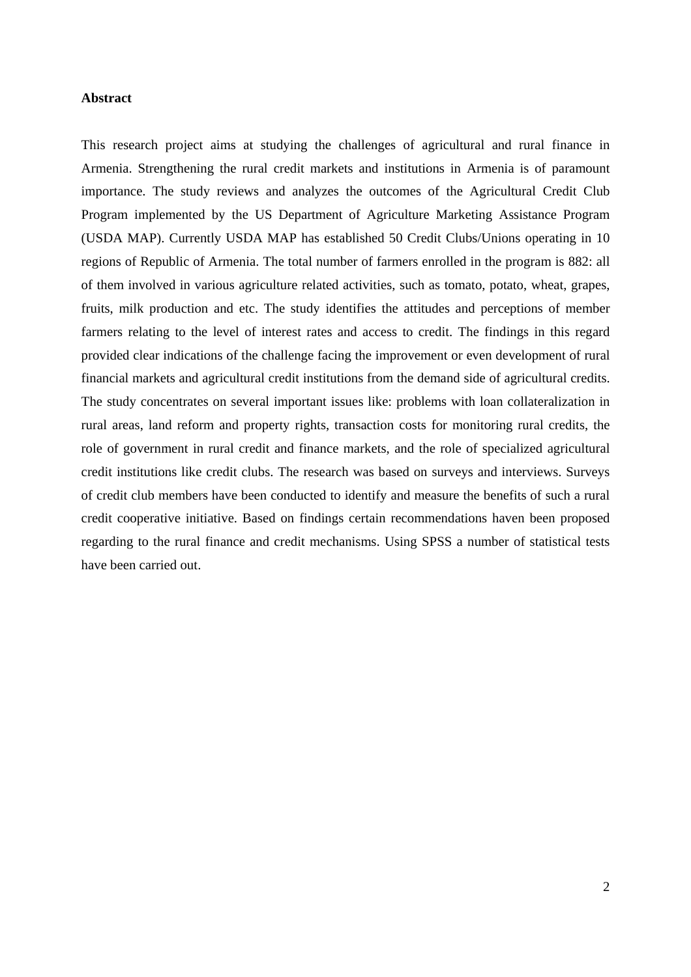## **Abstract**

This research project aims at studying the challenges of agricultural and rural finance in Armenia. Strengthening the rural credit markets and institutions in Armenia is of paramount importance. The study reviews and analyzes the outcomes of the Agricultural Credit Club Program implemented by the US Department of Agriculture Marketing Assistance Program (USDA MAP). Currently USDA MAP has established 50 Credit Clubs/Unions operating in 10 regions of Republic of Armenia. The total number of farmers enrolled in the program is 882: all of them involved in various agriculture related activities, such as tomato, potato, wheat, grapes, fruits, milk production and etc. The study identifies the attitudes and perceptions of member farmers relating to the level of interest rates and access to credit. The findings in this regard provided clear indications of the challenge facing the improvement or even development of rural financial markets and agricultural credit institutions from the demand side of agricultural credits. The study concentrates on several important issues like: problems with loan collateralization in rural areas, land reform and property rights, transaction costs for monitoring rural credits, the role of government in rural credit and finance markets, and the role of specialized agricultural credit institutions like credit clubs. The research was based on surveys and interviews. Surveys of credit club members have been conducted to identify and measure the benefits of such a rural credit cooperative initiative. Based on findings certain recommendations haven been proposed regarding to the rural finance and credit mechanisms. Using SPSS a number of statistical tests have been carried out.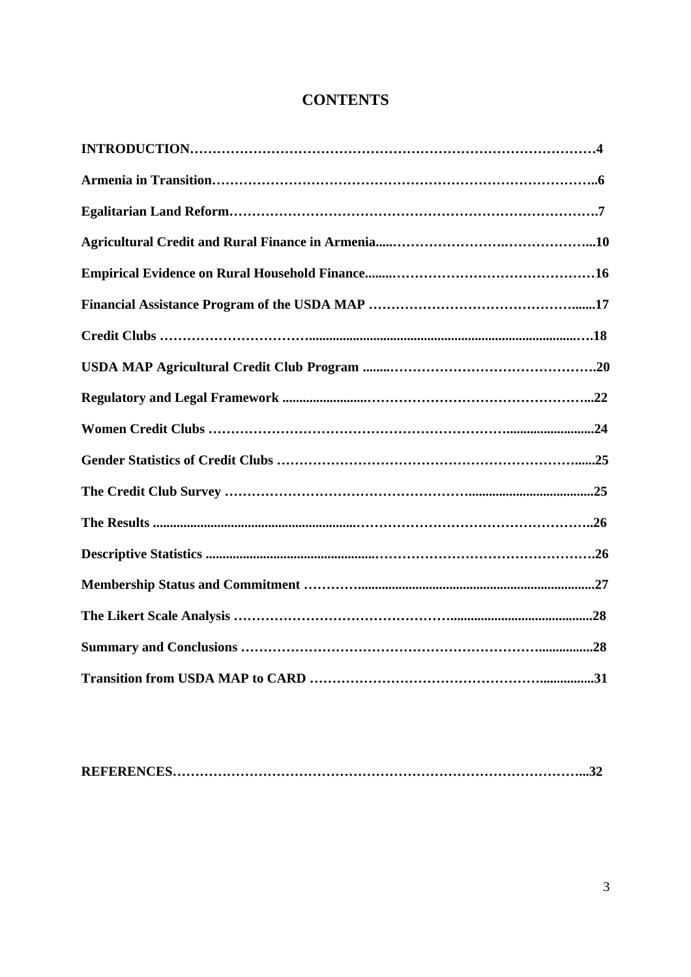# **CONTENTS**

|--|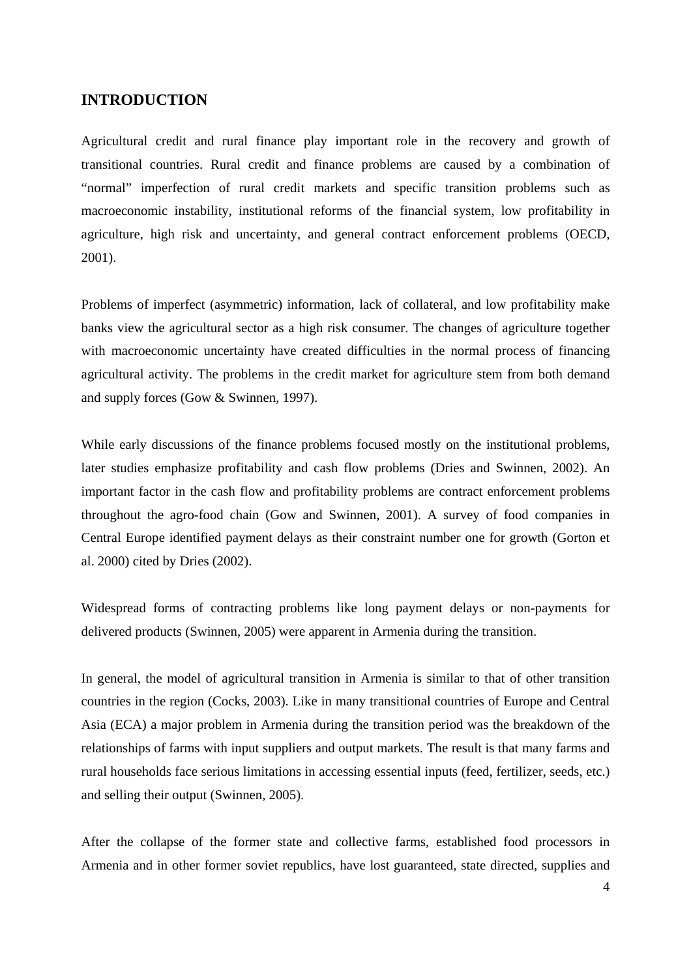# **INTRODUCTION**

Agricultural credit and rural finance play important role in the recovery and growth of transitional countries. Rural credit and finance problems are caused by a combination of "normal" imperfection of rural credit markets and specific transition problems such as macroeconomic instability, institutional reforms of the financial system, low profitability in agriculture, high risk and uncertainty, and general contract enforcement problems (OECD, 2001).

Problems of imperfect (asymmetric) information, lack of collateral, and low profitability make banks view the agricultural sector as a high risk consumer. The changes of agriculture together with macroeconomic uncertainty have created difficulties in the normal process of financing agricultural activity. The problems in the credit market for agriculture stem from both demand and supply forces (Gow & Swinnen, 1997).

While early discussions of the finance problems focused mostly on the institutional problems, later studies emphasize profitability and cash flow problems (Dries and Swinnen, 2002). An important factor in the cash flow and profitability problems are contract enforcement problems throughout the agro-food chain (Gow and Swinnen, 2001). A survey of food companies in Central Europe identified payment delays as their constraint number one for growth (Gorton et al. 2000) cited by Dries (2002).

Widespread forms of contracting problems like long payment delays or non-payments for delivered products (Swinnen, 2005) were apparent in Armenia during the transition.

In general, the model of agricultural transition in Armenia is similar to that of other transition countries in the region (Cocks, 2003). Like in many transitional countries of Europe and Central Asia (ECA) a major problem in Armenia during the transition period was the breakdown of the relationships of farms with input suppliers and output markets. The result is that many farms and rural households face serious limitations in accessing essential inputs (feed, fertilizer, seeds, etc.) and selling their output (Swinnen, 2005).

After the collapse of the former state and collective farms, established food processors in Armenia and in other former soviet republics, have lost guaranteed, state directed, supplies and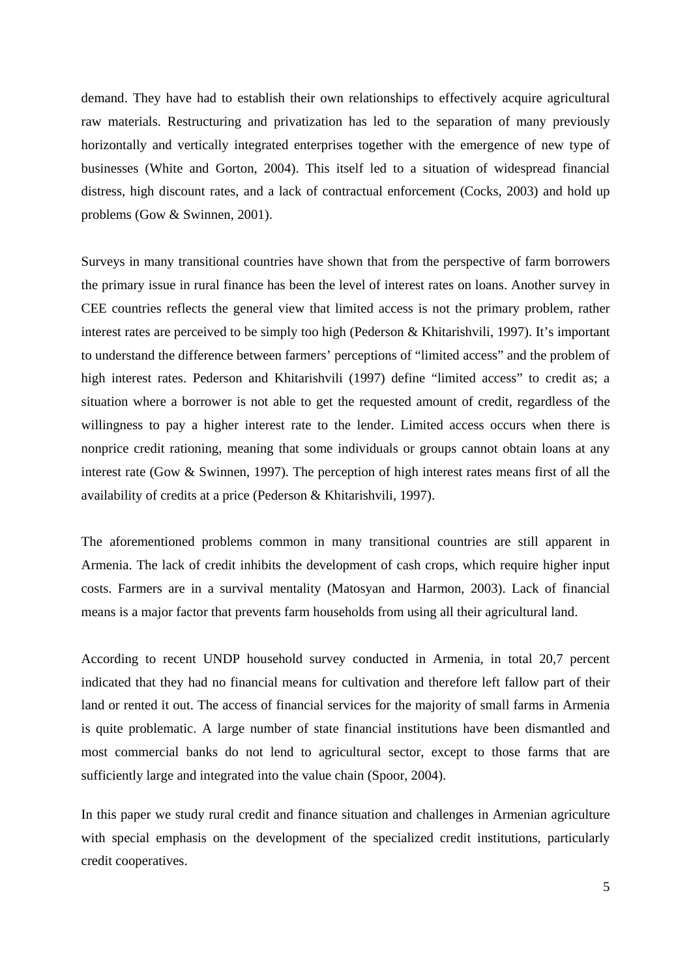demand. They have had to establish their own relationships to effectively acquire agricultural raw materials. Restructuring and privatization has led to the separation of many previously horizontally and vertically integrated enterprises together with the emergence of new type of businesses (White and Gorton, 2004). This itself led to a situation of widespread financial distress, high discount rates, and a lack of contractual enforcement (Cocks, 2003) and hold up problems (Gow & Swinnen, 2001).

Surveys in many transitional countries have shown that from the perspective of farm borrowers the primary issue in rural finance has been the level of interest rates on loans. Another survey in CEE countries reflects the general view that limited access is not the primary problem, rather interest rates are perceived to be simply too high (Pederson & Khitarishvili, 1997). It's important to understand the difference between farmers' perceptions of "limited access" and the problem of high interest rates. Pederson and Khitarishvili (1997) define "limited access" to credit as; a situation where a borrower is not able to get the requested amount of credit, regardless of the willingness to pay a higher interest rate to the lender. Limited access occurs when there is nonprice credit rationing, meaning that some individuals or groups cannot obtain loans at any interest rate (Gow & Swinnen, 1997). The perception of high interest rates means first of all the availability of credits at a price (Pederson & Khitarishvili, 1997).

The aforementioned problems common in many transitional countries are still apparent in Armenia. The lack of credit inhibits the development of cash crops, which require higher input costs. Farmers are in a survival mentality (Matosyan and Harmon, 2003). Lack of financial means is a major factor that prevents farm households from using all their agricultural land.

According to recent UNDP household survey conducted in Armenia, in total 20,7 percent indicated that they had no financial means for cultivation and therefore left fallow part of their land or rented it out. The access of financial services for the majority of small farms in Armenia is quite problematic. A large number of state financial institutions have been dismantled and most commercial banks do not lend to agricultural sector, except to those farms that are sufficiently large and integrated into the value chain (Spoor, 2004).

In this paper we study rural credit and finance situation and challenges in Armenian agriculture with special emphasis on the development of the specialized credit institutions, particularly credit cooperatives.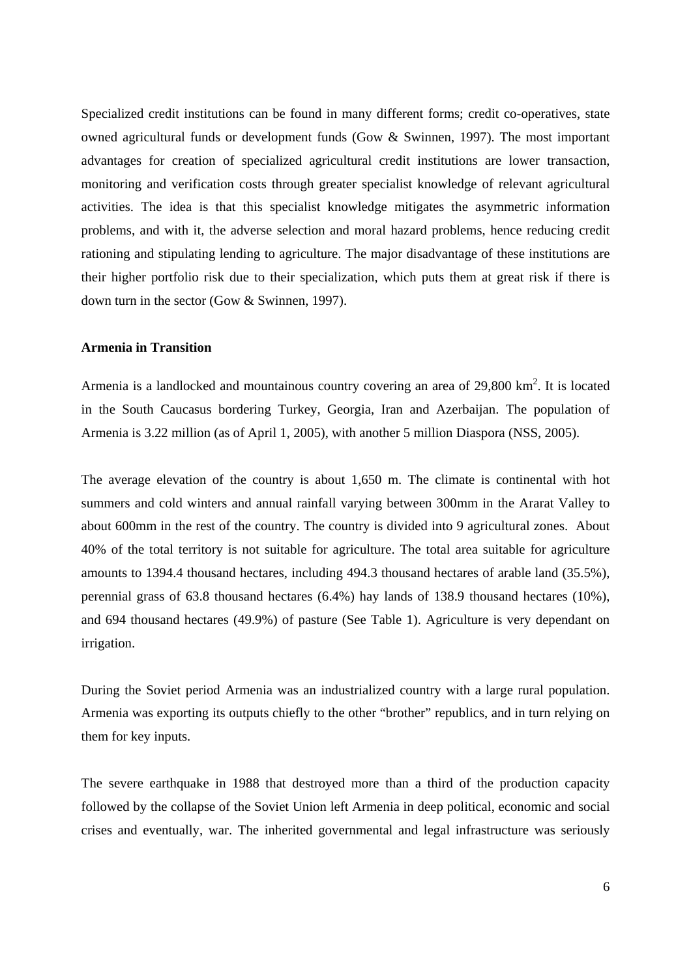Specialized credit institutions can be found in many different forms; credit co-operatives, state owned agricultural funds or development funds (Gow & Swinnen, 1997). The most important advantages for creation of specialized agricultural credit institutions are lower transaction, monitoring and verification costs through greater specialist knowledge of relevant agricultural activities. The idea is that this specialist knowledge mitigates the asymmetric information problems, and with it, the adverse selection and moral hazard problems, hence reducing credit rationing and stipulating lending to agriculture. The major disadvantage of these institutions are their higher portfolio risk due to their specialization, which puts them at great risk if there is down turn in the sector (Gow & Swinnen, 1997).

## **Armenia in Transition**

Armenia is a landlocked and mountainous country covering an area of  $29,800 \text{ km}^2$ . It is located in the South Caucasus bordering Turkey, Georgia, Iran and Azerbaijan. The population of Armenia is 3.22 million (as of April 1, 2005), with another 5 million Diaspora (NSS, 2005).

The average elevation of the country is about 1,650 m. The climate is continental with hot summers and cold winters and annual rainfall varying between 300mm in the Ararat Valley to about 600mm in the rest of the country. The country is divided into 9 agricultural zones. About 40% of the total territory is not suitable for agriculture. The total area suitable for agriculture amounts to 1394.4 thousand hectares, including 494.3 thousand hectares of arable land (35.5%), perennial grass of 63.8 thousand hectares (6.4%) hay lands of 138.9 thousand hectares (10%), and 694 thousand hectares (49.9%) of pasture (See Table 1). Agriculture is very dependant on irrigation.

During the Soviet period Armenia was an industrialized country with a large rural population. Armenia was exporting its outputs chiefly to the other "brother" republics, and in turn relying on them for key inputs.

The severe earthquake in 1988 that destroyed more than a third of the production capacity followed by the collapse of the Soviet Union left Armenia in deep political, economic and social crises and eventually, war. The inherited governmental and legal infrastructure was seriously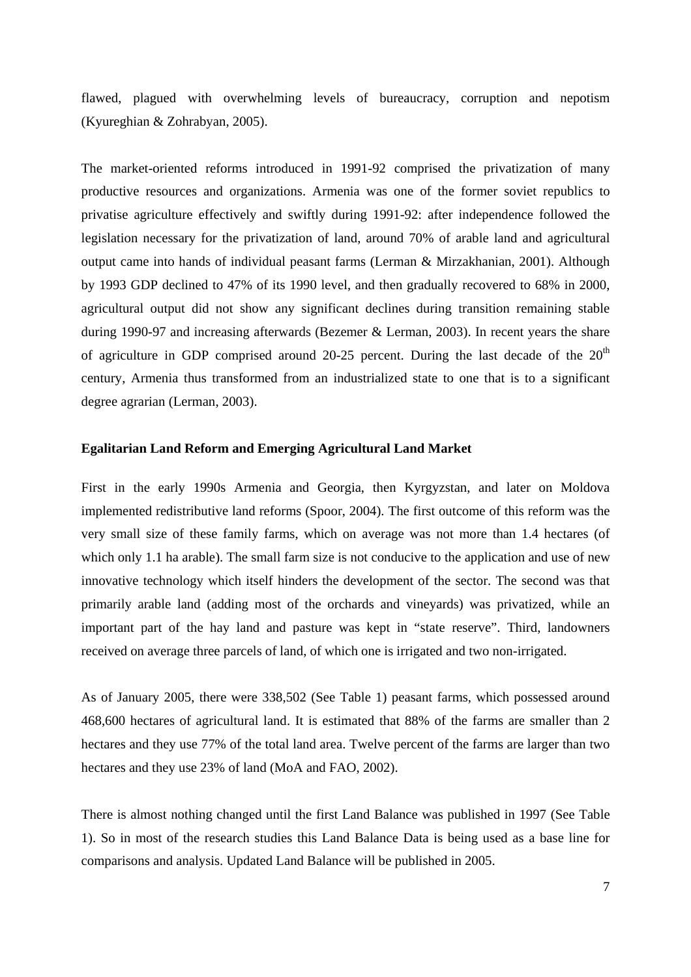flawed, plagued with overwhelming levels of bureaucracy, corruption and nepotism (Kyureghian & Zohrabyan, 2005).

The market-oriented reforms introduced in 1991-92 comprised the privatization of many productive resources and organizations. Armenia was one of the former soviet republics to privatise agriculture effectively and swiftly during 1991-92: after independence followed the legislation necessary for the privatization of land, around 70% of arable land and agricultural output came into hands of individual peasant farms (Lerman & Mirzakhanian, 2001). Although by 1993 GDP declined to 47% of its 1990 level, and then gradually recovered to 68% in 2000, agricultural output did not show any significant declines during transition remaining stable during 1990-97 and increasing afterwards (Bezemer & Lerman, 2003). In recent years the share of agriculture in GDP comprised around 20-25 percent. During the last decade of the  $20<sup>th</sup>$ century, Armenia thus transformed from an industrialized state to one that is to a significant degree agrarian (Lerman, 2003).

#### **Egalitarian Land Reform and Emerging Agricultural Land Market**

First in the early 1990s Armenia and Georgia, then Kyrgyzstan, and later on Moldova implemented redistributive land reforms (Spoor, 2004). The first outcome of this reform was the very small size of these family farms, which on average was not more than 1.4 hectares (of which only 1.1 ha arable). The small farm size is not conducive to the application and use of new innovative technology which itself hinders the development of the sector. The second was that primarily arable land (adding most of the orchards and vineyards) was privatized, while an important part of the hay land and pasture was kept in "state reserve". Third, landowners received on average three parcels of land, of which one is irrigated and two non-irrigated.

As of January 2005, there were 338,502 (See Table 1) peasant farms, which possessed around 468,600 hectares of agricultural land. It is estimated that 88% of the farms are smaller than 2 hectares and they use 77% of the total land area. Twelve percent of the farms are larger than two hectares and they use 23% of land (MoA and FAO, 2002).

There is almost nothing changed until the first Land Balance was published in 1997 (See Table 1). So in most of the research studies this Land Balance Data is being used as a base line for comparisons and analysis. Updated Land Balance will be published in 2005.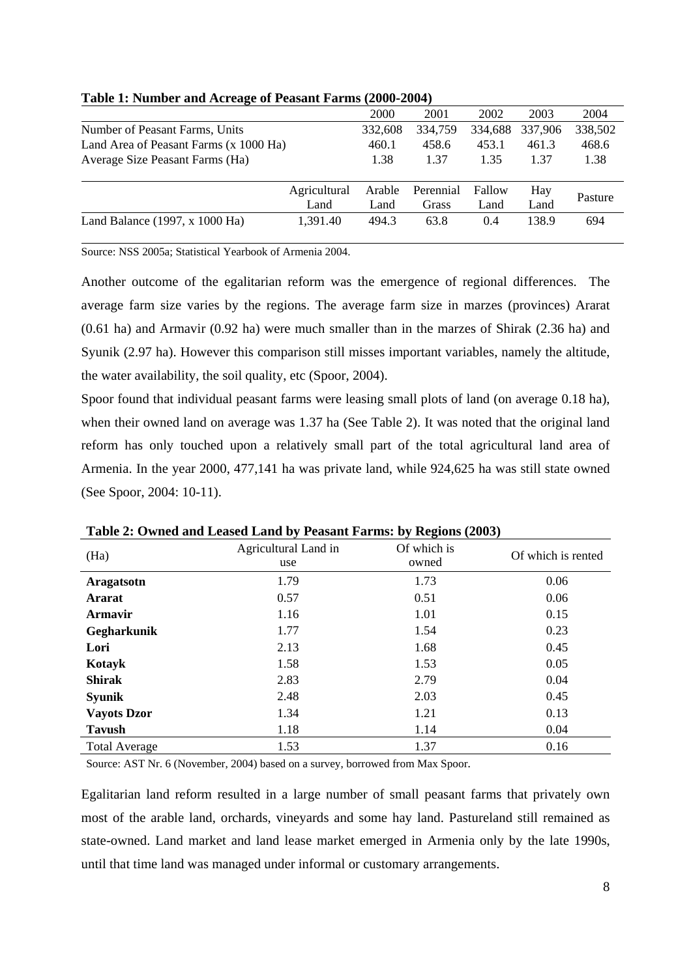| ັ                                      |              |         |           |         |         |         |
|----------------------------------------|--------------|---------|-----------|---------|---------|---------|
|                                        |              | 2000    | 2001      | 2002    | 2003    | 2004    |
| Number of Peasant Farms, Units         |              | 332,608 | 334,759   | 334,688 | 337,906 | 338,502 |
| Land Area of Peasant Farms (x 1000 Ha) |              | 460.1   | 458.6     | 453.1   | 461.3   | 468.6   |
| Average Size Peasant Farms (Ha)        |              | 1.38    | 1.37      | 1.35    | 1.37    | 1.38    |
|                                        | Agricultural | Arable  | Perennial | Fallow  | Hay     | Pasture |
|                                        | Land         | Land    | Grass     | Land    | Land    |         |
| Land Balance $(1997, x 1000$ Ha)       | 1,391.40     | 494.3   | 63.8      | 0.4     | 138.9   | 694     |

## **Table 1: Number and Acreage of Peasant Farms (2000-2004)**

Source: NSS 2005a; Statistical Yearbook of Armenia 2004.

Another outcome of the egalitarian reform was the emergence of regional differences. The average farm size varies by the regions. The average farm size in marzes (provinces) Ararat (0.61 ha) and Armavir (0.92 ha) were much smaller than in the marzes of Shirak (2.36 ha) and Syunik (2.97 ha). However this comparison still misses important variables, namely the altitude, the water availability, the soil quality, etc (Spoor, 2004).

Spoor found that individual peasant farms were leasing small plots of land (on average 0.18 ha), when their owned land on average was 1.37 ha (See Table 2). It was noted that the original land reform has only touched upon a relatively small part of the total agricultural land area of Armenia. In the year 2000, 477,141 ha was private land, while 924,625 ha was still state owned (See Spoor, 2004: 10-11).

|                      | Tubic 2. Owned and Ecubed Eand by Teasunt Farms. by Incentis (2000) |                      |                    |
|----------------------|---------------------------------------------------------------------|----------------------|--------------------|
| (Ha)                 | Agricultural Land in<br>use                                         | Of which is<br>owned | Of which is rented |
| Aragatsotn           | 1.79                                                                | 1.73                 | 0.06               |
| <b>Ararat</b>        | 0.57                                                                | 0.51                 | 0.06               |
| Armavir              | 1.16                                                                | 1.01                 | 0.15               |
| Gegharkunik          | 1.77                                                                | 1.54                 | 0.23               |
| Lori                 | 2.13                                                                | 1.68                 | 0.45               |
| Kotayk               | 1.58                                                                | 1.53                 | 0.05               |
| <b>Shirak</b>        | 2.83                                                                | 2.79                 | 0.04               |
| <b>Syunik</b>        | 2.48                                                                | 2.03                 | 0.45               |
| <b>Vayots Dzor</b>   | 1.34                                                                | 1.21                 | 0.13               |
| <b>Tavush</b>        | 1.18                                                                | 1.14                 | 0.04               |
| <b>Total Average</b> | 1.53                                                                | 1.37                 | 0.16               |

**Table 2: Owned and Leased Land by Peasant Farms: by Regions (2003)** 

Source: AST Nr. 6 (November, 2004) based on a survey, borrowed from Max Spoor.

Egalitarian land reform resulted in a large number of small peasant farms that privately own most of the arable land, orchards, vineyards and some hay land. Pastureland still remained as state-owned. Land market and land lease market emerged in Armenia only by the late 1990s, until that time land was managed under informal or customary arrangements.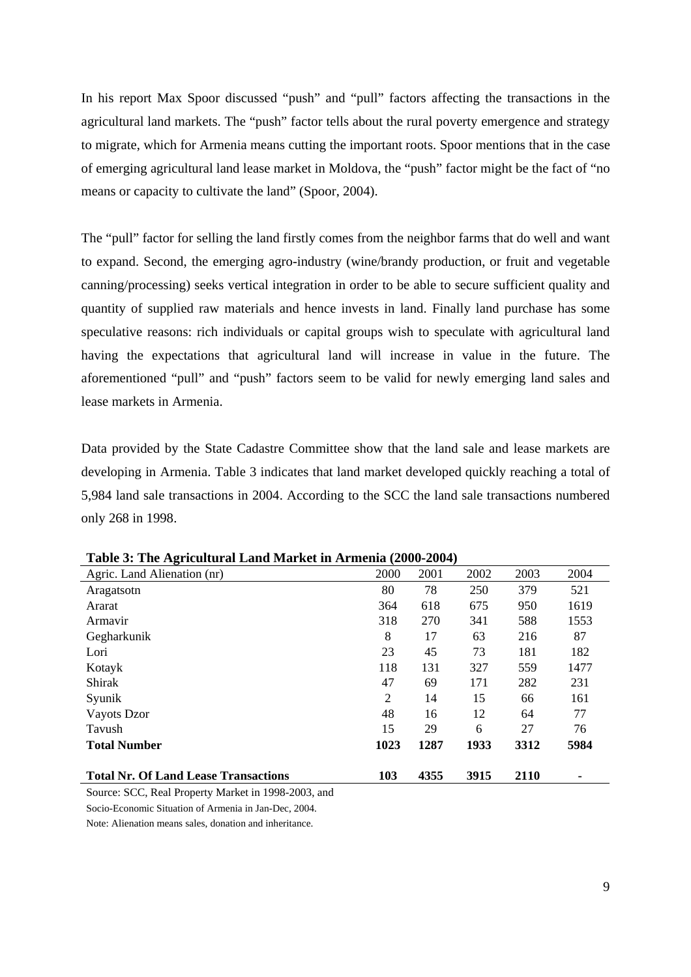In his report Max Spoor discussed "push" and "pull" factors affecting the transactions in the agricultural land markets. The "push" factor tells about the rural poverty emergence and strategy to migrate, which for Armenia means cutting the important roots. Spoor mentions that in the case of emerging agricultural land lease market in Moldova, the "push" factor might be the fact of "no means or capacity to cultivate the land" (Spoor, 2004).

The "pull" factor for selling the land firstly comes from the neighbor farms that do well and want to expand. Second, the emerging agro-industry (wine/brandy production, or fruit and vegetable canning/processing) seeks vertical integration in order to be able to secure sufficient quality and quantity of supplied raw materials and hence invests in land. Finally land purchase has some speculative reasons: rich individuals or capital groups wish to speculate with agricultural land having the expectations that agricultural land will increase in value in the future. The aforementioned "pull" and "push" factors seem to be valid for newly emerging land sales and lease markets in Armenia.

Data provided by the State Cadastre Committee show that the land sale and lease markets are developing in Armenia. Table 3 indicates that land market developed quickly reaching a total of 5,984 land sale transactions in 2004. According to the SCC the land sale transactions numbered only 268 in 1998.

| Agric. Land Alienation (nr)                 | 2000           | 2001 | 2002 | 2003 | 2004           |
|---------------------------------------------|----------------|------|------|------|----------------|
| Aragatsotn                                  | 80             | 78   | 250  | 379  | 521            |
| Ararat                                      | 364            | 618  | 675  | 950  | 1619           |
| Armavir                                     | 318            | 270  | 341  | 588  | 1553           |
| Gegharkunik                                 | 8              | 17   | 63   | 216  | 87             |
| Lori                                        | 23             | 45   | 73   | 181  | 182            |
| Kotayk                                      | 118            | 131  | 327  | 559  | 1477           |
| Shirak                                      | 47             | 69   | 171  | 282  | 231            |
| Syunik                                      | $\overline{2}$ | 14   | 15   | 66   | 161            |
| Vayots Dzor                                 | 48             | 16   | 12   | 64   | 77             |
| Tavush                                      | 15             | 29   | 6    | 27   | 76             |
| <b>Total Number</b>                         | 1023           | 1287 | 1933 | 3312 | 5984           |
| <b>Total Nr. Of Land Lease Transactions</b> | 103            | 4355 | 3915 | 2110 | $\blacksquare$ |

**Table 3: The Agricultural Land Market in Armenia (2000-2004)** 

Source: SCC, Real Property Market in 1998-2003, and

Socio-Economic Situation of Armenia in Jan-Dec, 2004.

Note: Alienation means sales, donation and inheritance.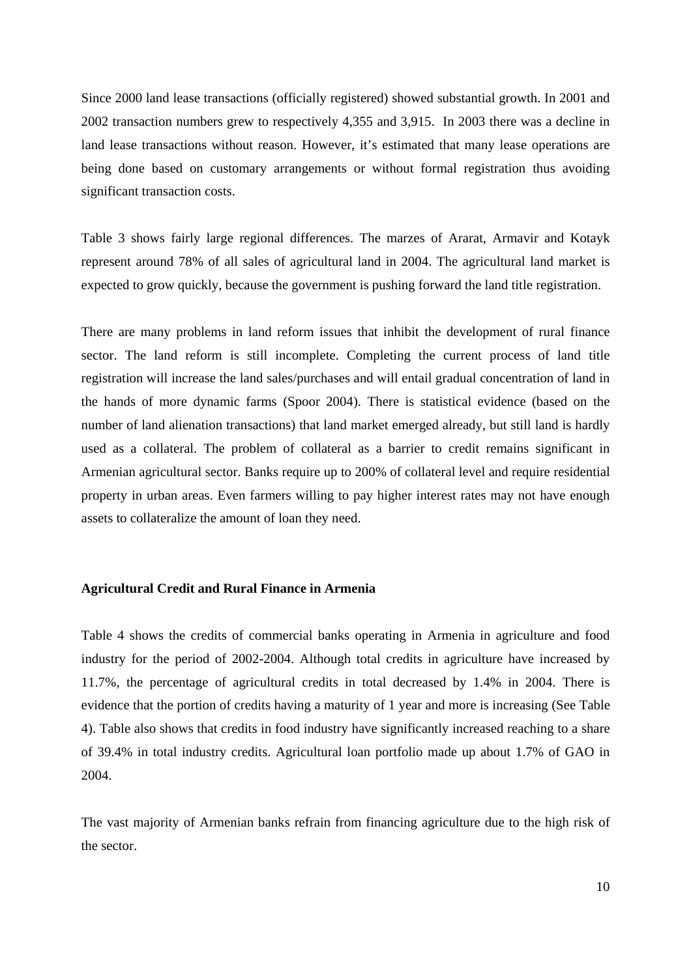Since 2000 land lease transactions (officially registered) showed substantial growth. In 2001 and 2002 transaction numbers grew to respectively 4,355 and 3,915. In 2003 there was a decline in land lease transactions without reason. However, it's estimated that many lease operations are being done based on customary arrangements or without formal registration thus avoiding significant transaction costs.

Table 3 shows fairly large regional differences. The marzes of Ararat, Armavir and Kotayk represent around 78% of all sales of agricultural land in 2004. The agricultural land market is expected to grow quickly, because the government is pushing forward the land title registration.

There are many problems in land reform issues that inhibit the development of rural finance sector. The land reform is still incomplete. Completing the current process of land title registration will increase the land sales/purchases and will entail gradual concentration of land in the hands of more dynamic farms (Spoor 2004). There is statistical evidence (based on the number of land alienation transactions) that land market emerged already, but still land is hardly used as a collateral. The problem of collateral as a barrier to credit remains significant in Armenian agricultural sector. Banks require up to 200% of collateral level and require residential property in urban areas. Even farmers willing to pay higher interest rates may not have enough assets to collateralize the amount of loan they need.

## **Agricultural Credit and Rural Finance in Armenia**

Table 4 shows the credits of commercial banks operating in Armenia in agriculture and food industry for the period of 2002-2004. Although total credits in agriculture have increased by 11.7%, the percentage of agricultural credits in total decreased by 1.4% in 2004. There is evidence that the portion of credits having a maturity of 1 year and more is increasing (See Table 4). Table also shows that credits in food industry have significantly increased reaching to a share of 39.4% in total industry credits. Agricultural loan portfolio made up about 1.7% of GAO in 2004.

The vast majority of Armenian banks refrain from financing agriculture due to the high risk of the sector.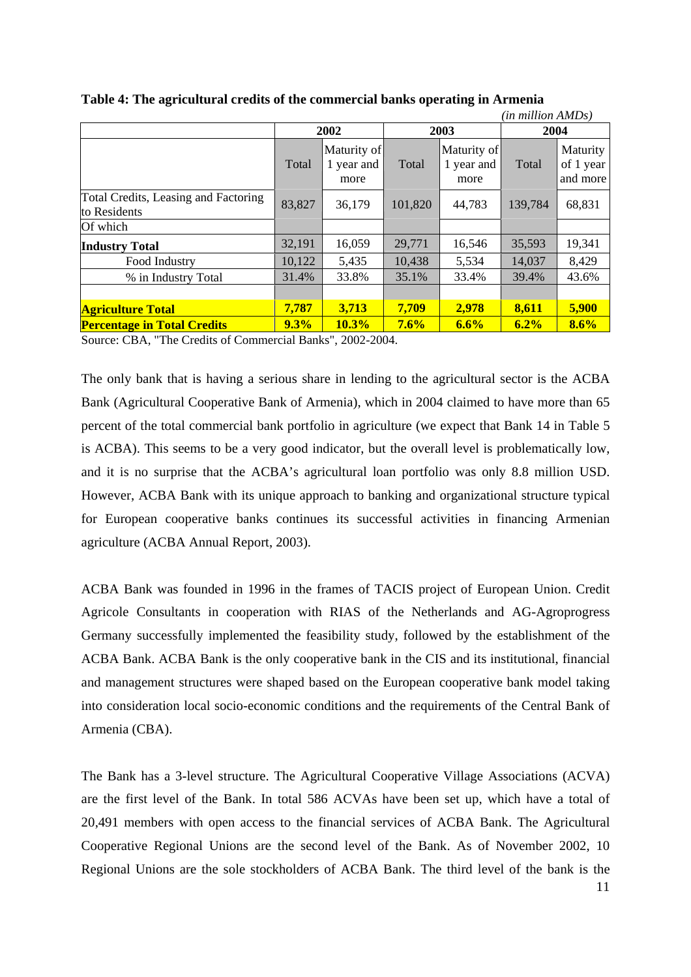|                                                      |        |                                   |         |                                   | (in million AMDs) |                                   |
|------------------------------------------------------|--------|-----------------------------------|---------|-----------------------------------|-------------------|-----------------------------------|
|                                                      | 2002   |                                   | 2003    |                                   | 2004              |                                   |
|                                                      | Total  | Maturity of<br>1 year and<br>more | Total   | Maturity of<br>1 year and<br>more | Total             | Maturity<br>of 1 year<br>and more |
| Total Credits, Leasing and Factoring<br>to Residents | 83,827 | 36,179                            | 101,820 | 44,783                            | 139,784           | 68,831                            |
| Of which                                             |        |                                   |         |                                   |                   |                                   |
| <b>Industry Total</b>                                | 32,191 | 16,059                            | 29,771  | 16,546                            | 35,593            | 19,341                            |
| Food Industry                                        | 10,122 | 5,435                             | 10,438  | 5,534                             | 14,037            | 8,429                             |
| % in Industry Total                                  | 31.4%  | 33.8%                             | 35.1%   | 33.4%                             | 39.4%             | 43.6%                             |
|                                                      |        |                                   |         |                                   |                   |                                   |
| <b>Agriculture Total</b>                             | 7,787  | 3,713                             | 7,709   | 2,978                             | 8,611             | 5,900                             |
| <b>Percentage in Total Credits</b>                   | 9.3%   | 10.3%                             | 7.6%    | 6.6%                              | 6.2%              | 8.6%                              |

**Table 4: The agricultural credits of the commercial banks operating in Armenia** 

Source: CBA, "The Credits of Commercial Banks", 2002-2004.

The only bank that is having a serious share in lending to the agricultural sector is the ACBA Bank (Agricultural Cooperative Bank of Armenia), which in 2004 claimed to have more than 65 percent of the total commercial bank portfolio in agriculture (we expect that Bank 14 in Table 5 is ACBA). This seems to be a very good indicator, but the overall level is problematically low, and it is no surprise that the ACBA's agricultural loan portfolio was only 8.8 million USD. However, ACBA Bank with its unique approach to banking and organizational structure typical for European cooperative banks continues its successful activities in financing Armenian agriculture (ACBA Annual Report, 2003).

ACBA Bank was founded in 1996 in the frames of TACIS project of European Union. Credit Agricole Consultants in cooperation with RIAS of the Netherlands and AG-Agroprogress Germany successfully implemented the feasibility study, followed by the establishment of the ACBA Bank. ACBA Bank is the only cooperative bank in the CIS and its institutional, financial and management structures were shaped based on the European cooperative bank model taking into consideration local socio-economic conditions and the requirements of the Central Bank of Armenia (CBA).

The Bank has a 3-level structure. The Agricultural Cooperative Village Associations (ACVA) are the first level of the Bank. In total 586 ACVAs have been set up, which have a total of 20,491 members with open access to the financial services of ACBA Bank. The Agricultural Cooperative Regional Unions are the second level of the Bank. As of November 2002, 10 Regional Unions are the sole stockholders of ACBA Bank. The third level of the bank is the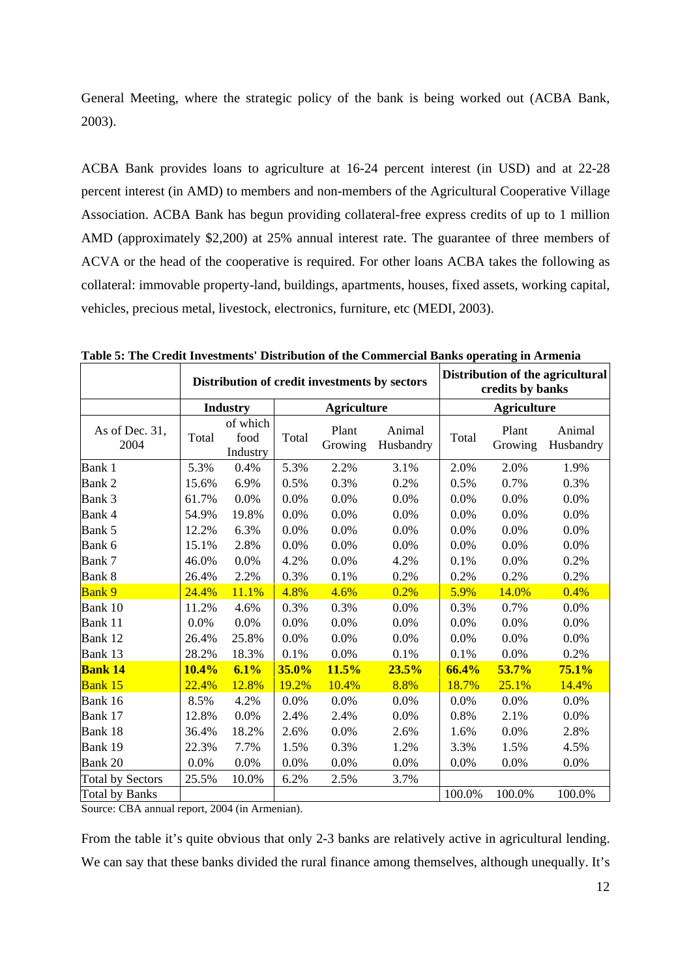General Meeting, where the strategic policy of the bank is being worked out (ACBA Bank, 2003).

ACBA Bank provides loans to agriculture at 16-24 percent interest (in USD) and at 22-28 percent interest (in AMD) to members and non-members of the Agricultural Cooperative Village Association. ACBA Bank has begun providing collateral-free express credits of up to 1 million AMD (approximately \$2,200) at 25% annual interest rate. The guarantee of three members of ACVA or the head of the cooperative is required. For other loans ACBA takes the following as collateral: immovable property-land, buildings, apartments, houses, fixed assets, working capital, vehicles, precious metal, livestock, electronics, furniture, etc (MEDI, 2003).

|                         | Distribution of credit investments by sectors |                              |       |                    |                     |        | credits by banks   | Distribution of the agricultural |
|-------------------------|-----------------------------------------------|------------------------------|-------|--------------------|---------------------|--------|--------------------|----------------------------------|
|                         |                                               | <b>Industry</b>              |       | <b>Agriculture</b> |                     |        | <b>Agriculture</b> |                                  |
| As of Dec. 31,<br>2004  | Total                                         | of which<br>food<br>Industry | Total | Plant<br>Growing   | Animal<br>Husbandry | Total  | Plant<br>Growing   | Animal<br>Husbandry              |
| Bank 1                  | 5.3%                                          | 0.4%                         | 5.3%  | 2.2%               | 3.1%                | 2.0%   | 2.0%               | 1.9%                             |
| Bank 2                  | 15.6%                                         | 6.9%                         | 0.5%  | 0.3%               | 0.2%                | 0.5%   | 0.7%               | 0.3%                             |
| Bank 3                  | 61.7%                                         | 0.0%                         | 0.0%  | 0.0%               | 0.0%                | 0.0%   | 0.0%               | 0.0%                             |
| Bank 4                  | 54.9%                                         | 19.8%                        | 0.0%  | 0.0%               | 0.0%                | 0.0%   | 0.0%               | 0.0%                             |
| Bank 5                  | 12.2%                                         | 6.3%                         | 0.0%  | 0.0%               | 0.0%                | 0.0%   | 0.0%               | 0.0%                             |
| Bank 6                  | 15.1%                                         | 2.8%                         | 0.0%  | 0.0%               | 0.0%                | 0.0%   | 0.0%               | 0.0%                             |
| Bank 7                  | 46.0%                                         | 0.0%                         | 4.2%  | 0.0%               | 4.2%                | 0.1%   | 0.0%               | 0.2%                             |
| Bank 8                  | 26.4%                                         | 2.2%                         | 0.3%  | 0.1%               | 0.2%                | 0.2%   | 0.2%               | 0.2%                             |
| <b>Bank 9</b>           | 24.4%                                         | 11.1%                        | 4.8%  | 4.6%               | 0.2%                | 5.9%   | 14.0%              | 0.4%                             |
| Bank 10                 | 11.2%                                         | 4.6%                         | 0.3%  | 0.3%               | 0.0%                | 0.3%   | 0.7%               | 0.0%                             |
| Bank 11                 | 0.0%                                          | 0.0%                         | 0.0%  | 0.0%               | 0.0%                | 0.0%   | 0.0%               | 0.0%                             |
| Bank 12                 | 26.4%                                         | 25.8%                        | 0.0%  | 0.0%               | 0.0%                | 0.0%   | 0.0%               | 0.0%                             |
| Bank 13                 | 28.2%                                         | 18.3%                        | 0.1%  | 0.0%               | 0.1%                | 0.1%   | 0.0%               | 0.2%                             |
| <b>Bank 14</b>          | 10.4%                                         | 6.1%                         | 35.0% | 11.5%              | 23.5%               | 66.4%  | 53.7%              | 75.1%                            |
| <b>Bank 15</b>          | 22.4%                                         | 12.8%                        | 19.2% | 10.4%              | 8.8%                | 18.7%  | 25.1%              | 14.4%                            |
| Bank 16                 | 8.5%                                          | 4.2%                         | 0.0%  | 0.0%               | 0.0%                | 0.0%   | 0.0%               | 0.0%                             |
| Bank 17                 | 12.8%                                         | 0.0%                         | 2.4%  | 2.4%               | 0.0%                | 0.8%   | 2.1%               | 0.0%                             |
| Bank 18                 | 36.4%                                         | 18.2%                        | 2.6%  | 0.0%               | 2.6%                | 1.6%   | 0.0%               | 2.8%                             |
| Bank 19                 | 22.3%                                         | 7.7%                         | 1.5%  | 0.3%               | 1.2%                | 3.3%   | 1.5%               | 4.5%                             |
| Bank 20                 | 0.0%                                          | 0.0%                         | 0.0%  | 0.0%               | $0.0\%$             | 0.0%   | 0.0%               | 0.0%                             |
| <b>Total by Sectors</b> | 25.5%                                         | 10.0%                        | 6.2%  | 2.5%               | 3.7%                |        |                    |                                  |
| <b>Total by Banks</b>   |                                               |                              |       |                    |                     | 100.0% | 100.0%             | 100.0%                           |

**Table 5: The Credit Investments' Distribution of the Commercial Banks operating in Armenia** 

Source: CBA annual report, 2004 (in Armenian).

From the table it's quite obvious that only 2-3 banks are relatively active in agricultural lending. We can say that these banks divided the rural finance among themselves, although unequally. It's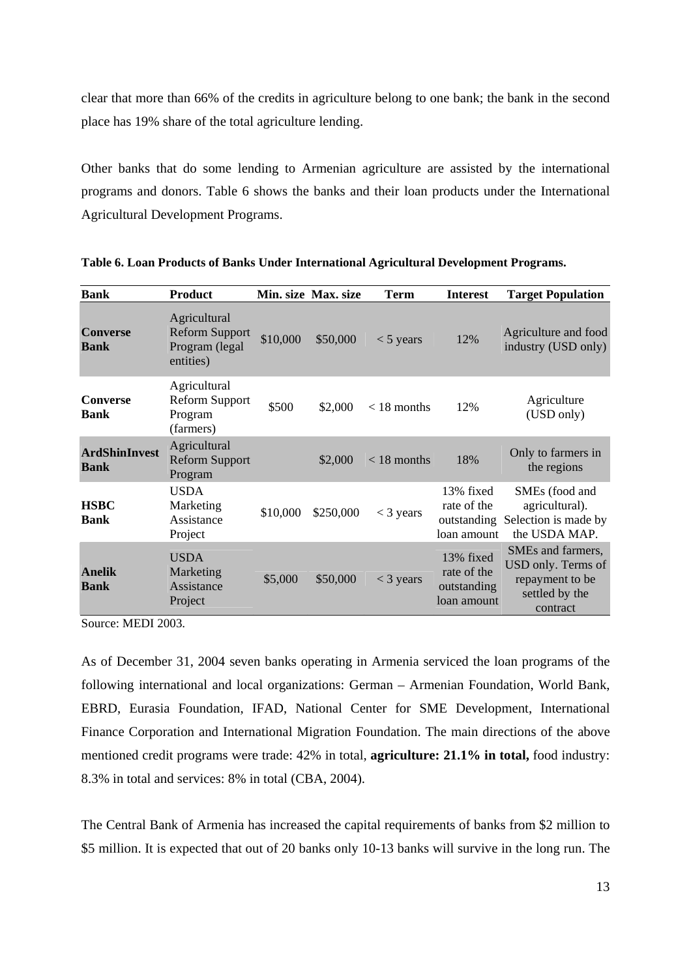clear that more than 66% of the credits in agriculture belong to one bank; the bank in the second place has 19% share of the total agriculture lending.

Other banks that do some lending to Armenian agriculture are assisted by the international programs and donors. Table 6 shows the banks and their loan products under the International Agricultural Development Programs.

| <b>Bank</b>                         | <b>Product</b>                                                       |          | Min. size Max. size | Term          | <b>Interest</b>                                        | <b>Target Population</b>                                                                          |
|-------------------------------------|----------------------------------------------------------------------|----------|---------------------|---------------|--------------------------------------------------------|---------------------------------------------------------------------------------------------------|
| <b>Converse</b><br><b>Bank</b>      | Agricultural<br><b>Reform Support</b><br>Program (legal<br>entities) | \$10,000 | \$50,000            | $<$ 5 years   | 12%                                                    | Agriculture and food<br>industry (USD only)                                                       |
| <b>Converse</b><br><b>Bank</b>      | Agricultural<br><b>Reform Support</b><br>Program<br>(farmers)        | \$500    | \$2,000             | $< 18$ months | 12%                                                    | Agriculture<br>(USD only)                                                                         |
| <b>ArdShinInvest</b><br><b>Bank</b> | Agricultural<br><b>Reform Support</b><br>Program                     |          | \$2,000             | $<$ 18 months | 18%                                                    | Only to farmers in<br>the regions                                                                 |
| <b>HSBC</b><br><b>Bank</b>          | <b>USDA</b><br>Marketing<br>Assistance<br>Project                    | \$10,000 | \$250,000           | $<$ 3 years   | 13% fixed<br>rate of the<br>loan amount                | SME <sub>s</sub> (food and<br>agricultural).<br>outstanding Selection is made by<br>the USDA MAP. |
| <b>Anelik</b><br><b>Bank</b>        | <b>USDA</b><br>Marketing<br>Assistance<br>Project                    | \$5,000  | \$50,000            | $<$ 3 years   | 13% fixed<br>rate of the<br>outstanding<br>loan amount | SMEs and farmers,<br>USD only. Terms of<br>repayment to be<br>settled by the<br>contract          |

**Table 6. Loan Products of Banks Under International Agricultural Development Programs.** 

Source: MEDI 2003.

As of December 31, 2004 seven banks operating in Armenia serviced the loan programs of the following international and local organizations: German – Armenian Foundation, World Bank, EBRD, Eurasia Foundation, IFAD, National Center for SME Development, International Finance Corporation and International Migration Foundation. The main directions of the above mentioned credit programs were trade: 42% in total, **agriculture: 21.1% in total,** food industry: 8.3% in total and services: 8% in total (CBA, 2004).

The Central Bank of Armenia has increased the capital requirements of banks from \$2 million to \$5 million. It is expected that out of 20 banks only 10-13 banks will survive in the long run. The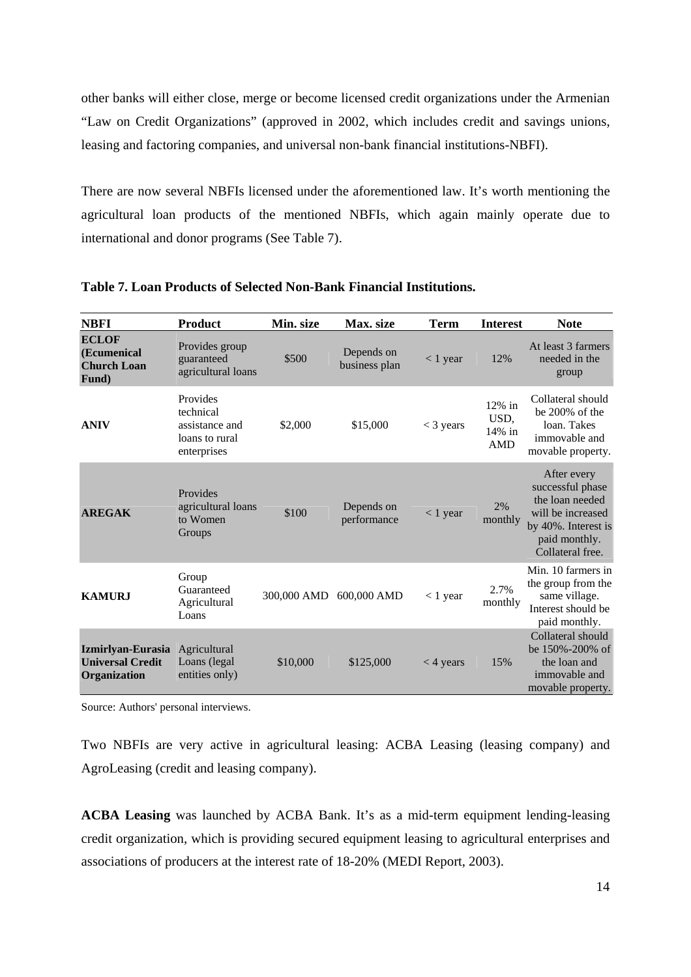other banks will either close, merge or become licensed credit organizations under the Armenian "Law on Credit Organizations" (approved in 2002, which includes credit and savings unions, leasing and factoring companies, and universal non-bank financial institutions-NBFI).

There are now several NBFIs licensed under the aforementioned law. It's worth mentioning the agricultural loan products of the mentioned NBFIs, which again mainly operate due to international and donor programs (See Table 7).

| <b>NBFI</b>                                                  | <b>Product</b>                                                           | Min. size   | Max. size                   | <b>Term</b> | <b>Interest</b>                           | <b>Note</b>                                                                                                                         |
|--------------------------------------------------------------|--------------------------------------------------------------------------|-------------|-----------------------------|-------------|-------------------------------------------|-------------------------------------------------------------------------------------------------------------------------------------|
| <b>ECLOF</b><br>(Ecumenical<br><b>Church Loan</b><br>Fund)   | Provides group<br>guaranteed<br>agricultural loans                       | \$500       | Depends on<br>business plan | $< 1$ year  | 12%                                       | At least 3 farmers<br>needed in the<br>group                                                                                        |
| <b>ANIV</b>                                                  | Provides<br>technical<br>assistance and<br>loans to rural<br>enterprises | \$2,000     | \$15,000                    | $<$ 3 years | $12\%$ in<br>USD.<br>14% in<br><b>AMD</b> | Collateral should<br>be 200% of the<br>loan. Takes<br>immovable and<br>movable property.                                            |
| <b>AREGAK</b>                                                | Provides<br>agricultural loans<br>to Women<br>Groups                     | \$100       | Depends on<br>performance   | $<$ 1 year  | 2%<br>monthly                             | After every<br>successful phase<br>the loan needed<br>will be increased<br>by 40%. Interest is<br>paid monthly.<br>Collateral free. |
| <b>KAMURJ</b>                                                | Group<br>Guaranteed<br>Agricultural<br>Loans                             | 300,000 AMD | 600,000 AMD                 | $< 1$ year  | 2.7%<br>monthly                           | Min. 10 farmers in<br>the group from the<br>same village.<br>Interest should be<br>paid monthly.                                    |
| Izmirlyan-Eurasia<br><b>Universal Credit</b><br>Organization | Agricultural<br>Loans (legal<br>entities only)                           | \$10,000    | \$125,000                   | $<$ 4 years | 15%                                       | Collateral should<br>be 150%-200% of<br>the loan and<br>immovable and<br>movable property.                                          |

**Table 7. Loan Products of Selected Non-Bank Financial Institutions.** 

Source: Authors' personal interviews.

Two NBFIs are very active in agricultural leasing: ACBA Leasing (leasing company) and AgroLeasing (credit and leasing company).

**ACBA Leasing** was launched by ACBA Bank. It's as a mid-term equipment lending-leasing credit organization, which is providing secured equipment leasing to agricultural enterprises and associations of producers at the interest rate of 18-20% (MEDI Report, 2003).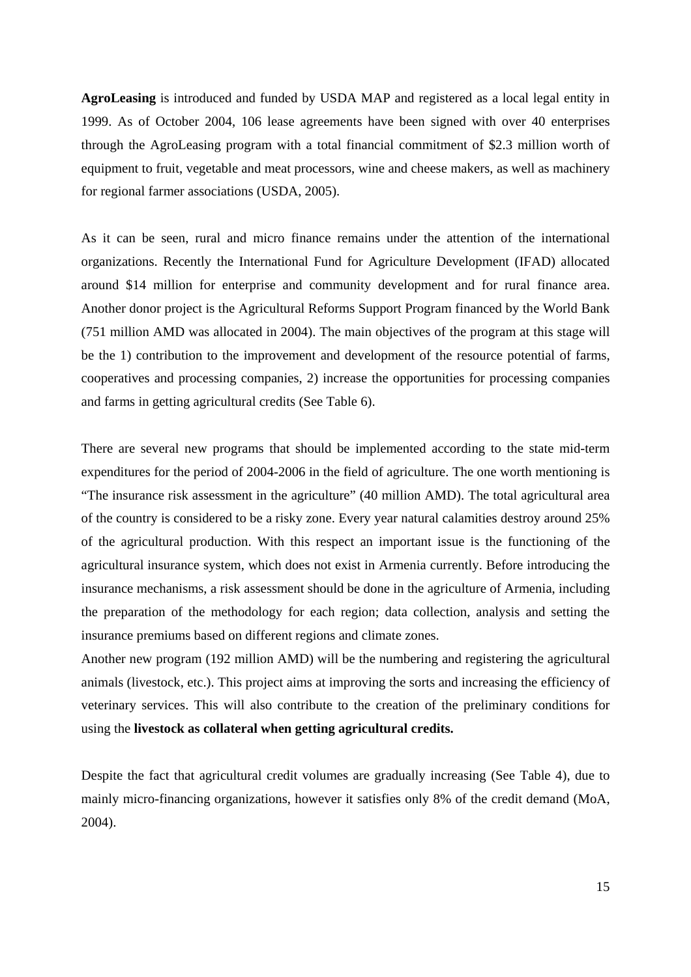**AgroLeasing** is introduced and funded by USDA MAP and registered as a local legal entity in 1999. As of October 2004, 106 lease agreements have been signed with over 40 enterprises through the AgroLeasing program with a total financial commitment of \$2.3 million worth of equipment to fruit, vegetable and meat processors, wine and cheese makers, as well as machinery for regional farmer associations (USDA, 2005).

As it can be seen, rural and micro finance remains under the attention of the international organizations. Recently the International Fund for Agriculture Development (IFAD) allocated around \$14 million for enterprise and community development and for rural finance area. Another donor project is the Agricultural Reforms Support Program financed by the World Bank (751 million AMD was allocated in 2004). The main objectives of the program at this stage will be the 1) contribution to the improvement and development of the resource potential of farms, cooperatives and processing companies, 2) increase the opportunities for processing companies and farms in getting agricultural credits (See Table 6).

There are several new programs that should be implemented according to the state mid-term expenditures for the period of 2004-2006 in the field of agriculture. The one worth mentioning is "The insurance risk assessment in the agriculture" (40 million AMD). The total agricultural area of the country is considered to be a risky zone. Every year natural calamities destroy around 25% of the agricultural production. With this respect an important issue is the functioning of the agricultural insurance system, which does not exist in Armenia currently. Before introducing the insurance mechanisms, a risk assessment should be done in the agriculture of Armenia, including the preparation of the methodology for each region; data collection, analysis and setting the insurance premiums based on different regions and climate zones.

Another new program (192 million AMD) will be the numbering and registering the agricultural animals (livestock, etc.). This project aims at improving the sorts and increasing the efficiency of veterinary services. This will also contribute to the creation of the preliminary conditions for using the **livestock as collateral when getting agricultural credits.** 

Despite the fact that agricultural credit volumes are gradually increasing (See Table 4), due to mainly micro-financing organizations, however it satisfies only 8% of the credit demand (MoA, 2004).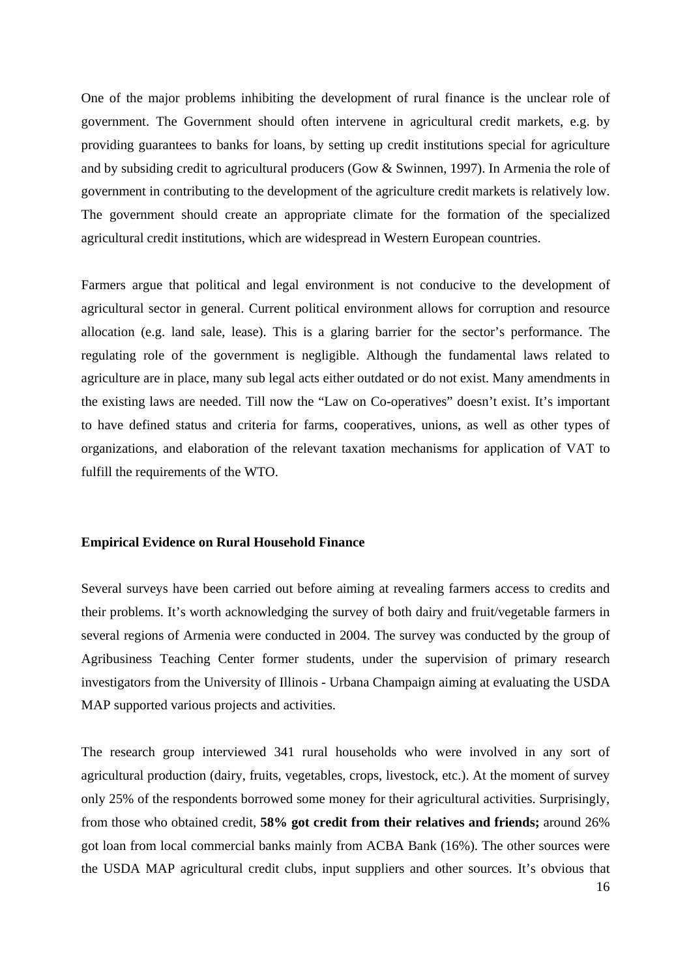One of the major problems inhibiting the development of rural finance is the unclear role of government. The Government should often intervene in agricultural credit markets, e.g. by providing guarantees to banks for loans, by setting up credit institutions special for agriculture and by subsiding credit to agricultural producers (Gow & Swinnen, 1997). In Armenia the role of government in contributing to the development of the agriculture credit markets is relatively low. The government should create an appropriate climate for the formation of the specialized agricultural credit institutions, which are widespread in Western European countries.

Farmers argue that political and legal environment is not conducive to the development of agricultural sector in general. Current political environment allows for corruption and resource allocation (e.g. land sale, lease). This is a glaring barrier for the sector's performance. The regulating role of the government is negligible. Although the fundamental laws related to agriculture are in place, many sub legal acts either outdated or do not exist. Many amendments in the existing laws are needed. Till now the "Law on Co-operatives" doesn't exist. It's important to have defined status and criteria for farms, cooperatives, unions, as well as other types of organizations, and elaboration of the relevant taxation mechanisms for application of VAT to fulfill the requirements of the WTO.

## **Empirical Evidence on Rural Household Finance**

Several surveys have been carried out before aiming at revealing farmers access to credits and their problems. It's worth acknowledging the survey of both dairy and fruit/vegetable farmers in several regions of Armenia were conducted in 2004. The survey was conducted by the group of Agribusiness Teaching Center former students, under the supervision of primary research investigators from the University of Illinois - Urbana Champaign aiming at evaluating the USDA MAP supported various projects and activities.

The research group interviewed 341 rural households who were involved in any sort of agricultural production (dairy, fruits, vegetables, crops, livestock, etc.). At the moment of survey only 25% of the respondents borrowed some money for their agricultural activities. Surprisingly, from those who obtained credit, **58% got credit from their relatives and friends;** around 26% got loan from local commercial banks mainly from ACBA Bank (16%). The other sources were the USDA MAP agricultural credit clubs, input suppliers and other sources. It's obvious that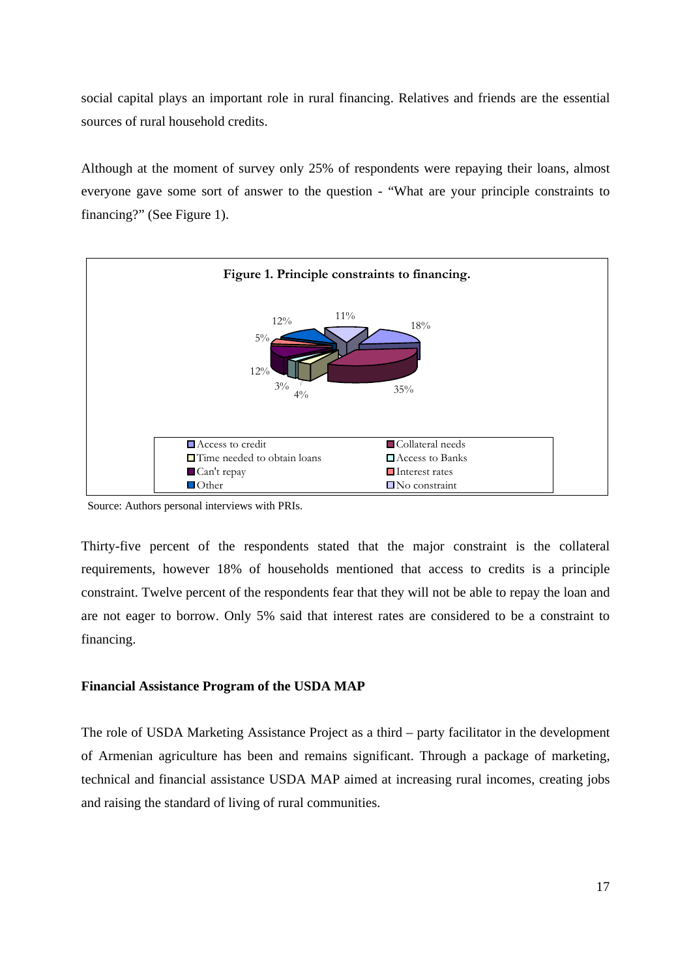social capital plays an important role in rural financing. Relatives and friends are the essential sources of rural household credits.

Although at the moment of survey only 25% of respondents were repaying their loans, almost everyone gave some sort of answer to the question - "What are your principle constraints to financing?" (See Figure 1).



Source: Authors personal interviews with PRIs.

Thirty-five percent of the respondents stated that the major constraint is the collateral requirements, however 18% of households mentioned that access to credits is a principle constraint. Twelve percent of the respondents fear that they will not be able to repay the loan and are not eager to borrow. Only 5% said that interest rates are considered to be a constraint to financing.

## **Financial Assistance Program of the USDA MAP**

The role of USDA Marketing Assistance Project as a third – party facilitator in the development of Armenian agriculture has been and remains significant. Through a package of marketing, technical and financial assistance USDA MAP aimed at increasing rural incomes, creating jobs and raising the standard of living of rural communities.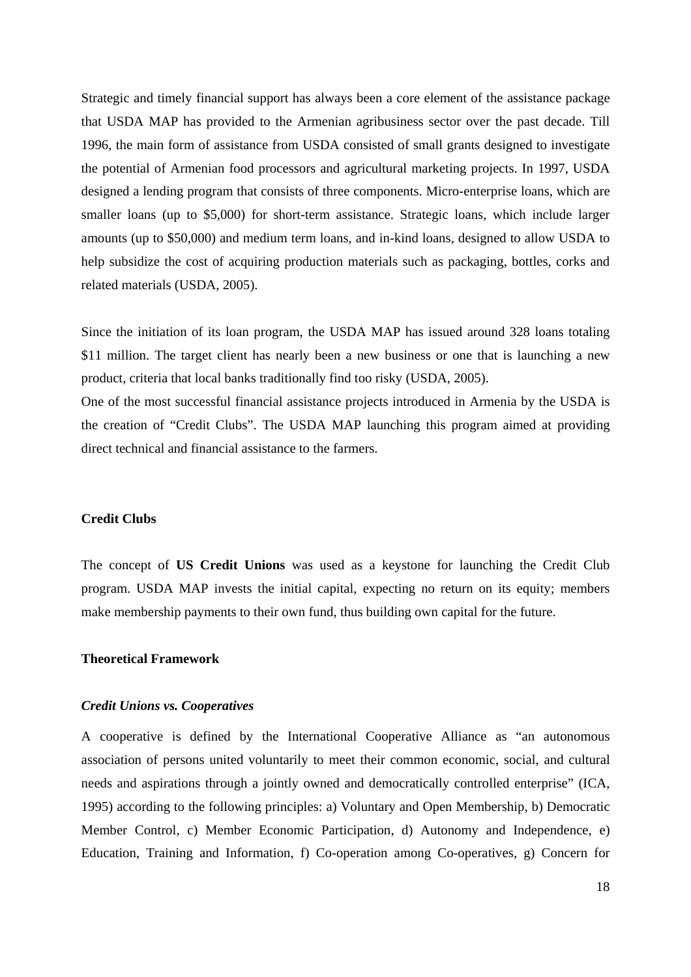Strategic and timely financial support has always been a core element of the assistance package that USDA MAP has provided to the Armenian agribusiness sector over the past decade. Till 1996, the main form of assistance from USDA consisted of small grants designed to investigate the potential of Armenian food processors and agricultural marketing projects. In 1997, USDA designed a lending program that consists of three components. Micro-enterprise loans, which are smaller loans (up to \$5,000) for short-term assistance. Strategic loans, which include larger amounts (up to \$50,000) and medium term loans, and in-kind loans, designed to allow USDA to help subsidize the cost of acquiring production materials such as packaging, bottles, corks and related materials (USDA, 2005).

Since the initiation of its loan program, the USDA MAP has issued around 328 loans totaling \$11 million. The target client has nearly been a new business or one that is launching a new product, criteria that local banks traditionally find too risky (USDA, 2005).

One of the most successful financial assistance projects introduced in Armenia by the USDA is the creation of "Credit Clubs". The USDA MAP launching this program aimed at providing direct technical and financial assistance to the farmers.

## **Credit Clubs**

The concept of **US Credit Unions** was used as a keystone for launching the Credit Club program. USDA MAP invests the initial capital, expecting no return on its equity; members make membership payments to their own fund, thus building own capital for the future.

## **Theoretical Framework**

#### *Credit Unions vs. Cooperatives*

A cooperative is defined by the International Cooperative Alliance as "an autonomous association of persons united voluntarily to meet their common economic, social, and cultural needs and aspirations through a jointly owned and democratically controlled enterprise" (ICA, 1995) according to the following principles: a) Voluntary and Open Membership, b) Democratic Member Control, c) Member Economic Participation, d) Autonomy and Independence, e) Education, Training and Information, f) Co-operation among Co-operatives, g) Concern for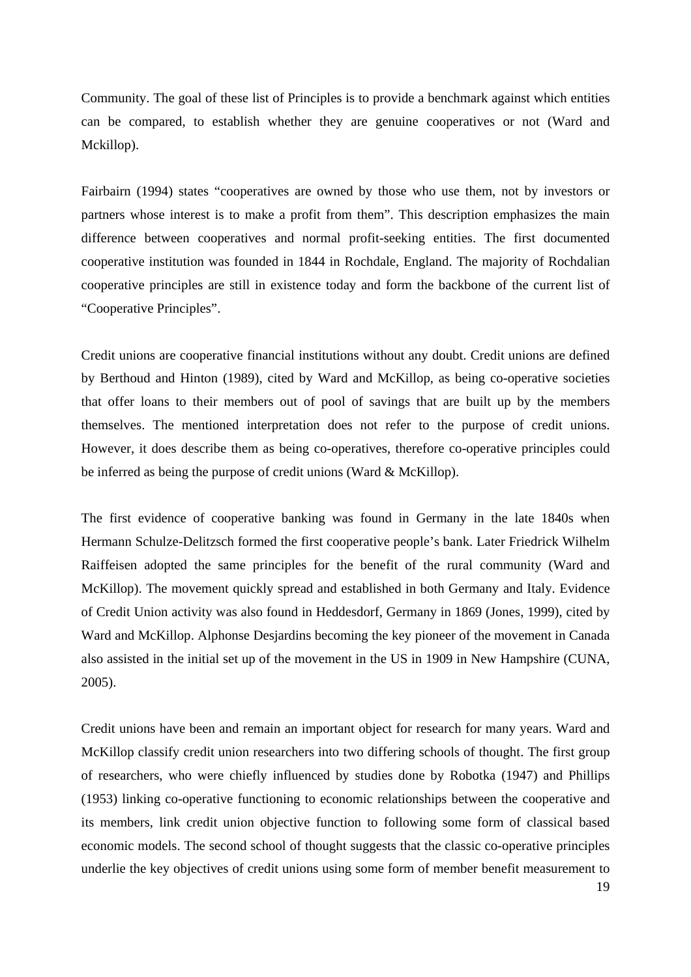Community. The goal of these list of Principles is to provide a benchmark against which entities can be compared, to establish whether they are genuine cooperatives or not (Ward and Mckillop).

Fairbairn (1994) states "cooperatives are owned by those who use them, not by investors or partners whose interest is to make a profit from them". This description emphasizes the main difference between cooperatives and normal profit-seeking entities. The first documented cooperative institution was founded in 1844 in Rochdale, England. The majority of Rochdalian cooperative principles are still in existence today and form the backbone of the current list of "Cooperative Principles".

Credit unions are cooperative financial institutions without any doubt. Credit unions are defined by Berthoud and Hinton (1989), cited by Ward and McKillop, as being co-operative societies that offer loans to their members out of pool of savings that are built up by the members themselves. The mentioned interpretation does not refer to the purpose of credit unions. However, it does describe them as being co-operatives, therefore co-operative principles could be inferred as being the purpose of credit unions (Ward & McKillop).

The first evidence of cooperative banking was found in Germany in the late 1840s when Hermann Schulze-Delitzsch formed the first cooperative people's bank. Later Friedrick Wilhelm Raiffeisen adopted the same principles for the benefit of the rural community (Ward and McKillop). The movement quickly spread and established in both Germany and Italy. Evidence of Credit Union activity was also found in Heddesdorf, Germany in 1869 (Jones, 1999), cited by Ward and McKillop. Alphonse Desjardins becoming the key pioneer of the movement in Canada also assisted in the initial set up of the movement in the US in 1909 in New Hampshire (CUNA, 2005).

Credit unions have been and remain an important object for research for many years. Ward and McKillop classify credit union researchers into two differing schools of thought. The first group of researchers, who were chiefly influenced by studies done by Robotka (1947) and Phillips (1953) linking co-operative functioning to economic relationships between the cooperative and its members, link credit union objective function to following some form of classical based economic models. The second school of thought suggests that the classic co-operative principles underlie the key objectives of credit unions using some form of member benefit measurement to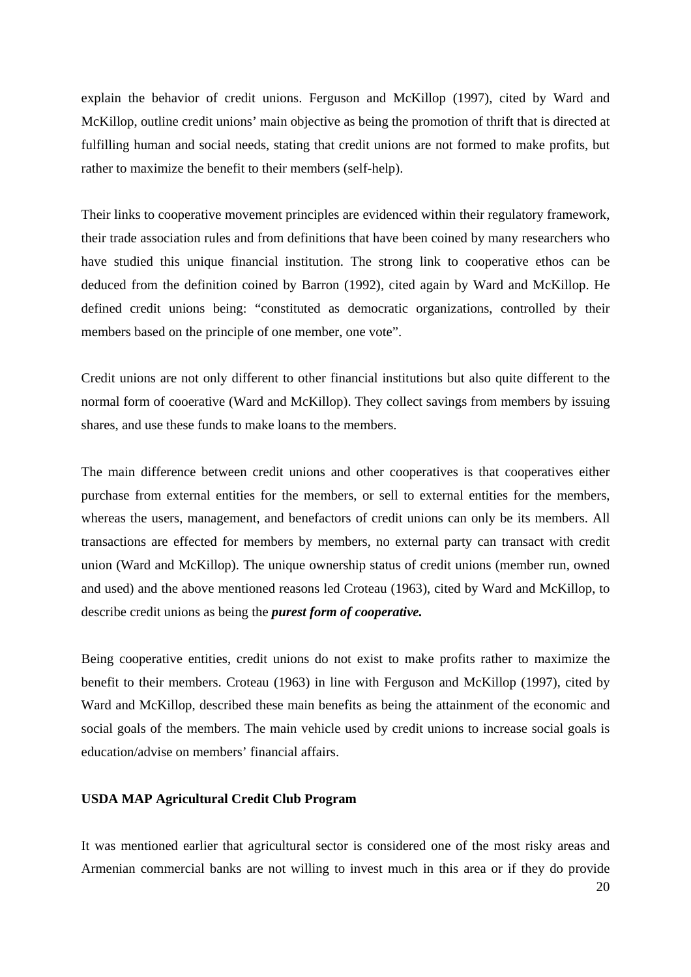explain the behavior of credit unions. Ferguson and McKillop (1997), cited by Ward and McKillop, outline credit unions' main objective as being the promotion of thrift that is directed at fulfilling human and social needs, stating that credit unions are not formed to make profits, but rather to maximize the benefit to their members (self-help).

Their links to cooperative movement principles are evidenced within their regulatory framework, their trade association rules and from definitions that have been coined by many researchers who have studied this unique financial institution. The strong link to cooperative ethos can be deduced from the definition coined by Barron (1992), cited again by Ward and McKillop. He defined credit unions being: "constituted as democratic organizations, controlled by their members based on the principle of one member, one vote".

Credit unions are not only different to other financial institutions but also quite different to the normal form of cooerative (Ward and McKillop). They collect savings from members by issuing shares, and use these funds to make loans to the members.

The main difference between credit unions and other cooperatives is that cooperatives either purchase from external entities for the members, or sell to external entities for the members, whereas the users, management, and benefactors of credit unions can only be its members. All transactions are effected for members by members, no external party can transact with credit union (Ward and McKillop). The unique ownership status of credit unions (member run, owned and used) and the above mentioned reasons led Croteau (1963), cited by Ward and McKillop, to describe credit unions as being the *purest form of cooperative.* 

Being cooperative entities, credit unions do not exist to make profits rather to maximize the benefit to their members. Croteau (1963) in line with Ferguson and McKillop (1997), cited by Ward and McKillop, described these main benefits as being the attainment of the economic and social goals of the members. The main vehicle used by credit unions to increase social goals is education/advise on members' financial affairs.

## **USDA MAP Agricultural Credit Club Program**

It was mentioned earlier that agricultural sector is considered one of the most risky areas and Armenian commercial banks are not willing to invest much in this area or if they do provide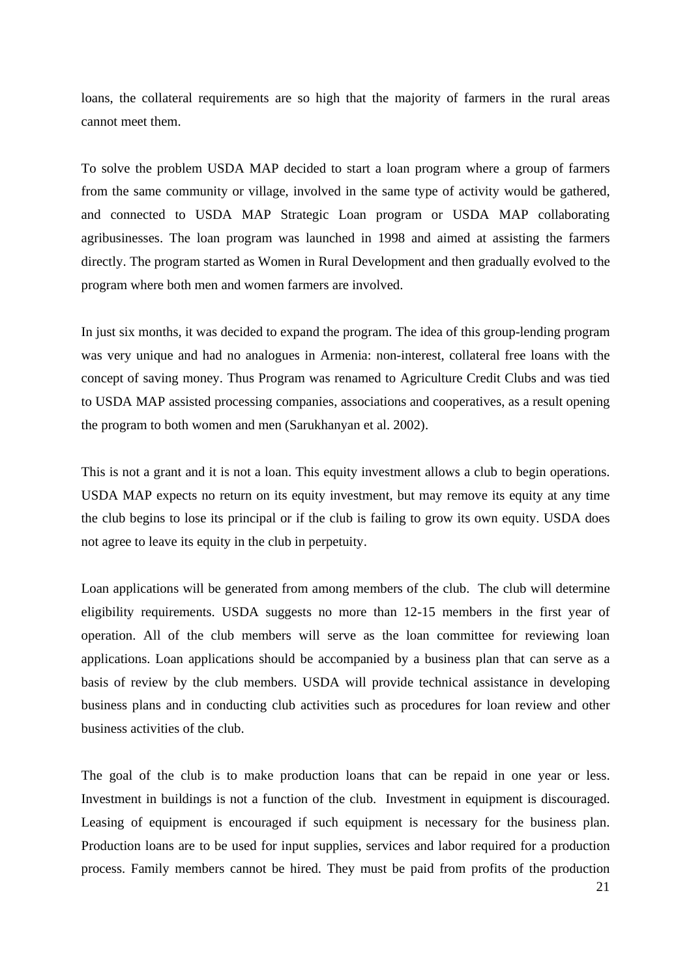loans, the collateral requirements are so high that the majority of farmers in the rural areas cannot meet them.

To solve the problem USDA MAP decided to start a loan program where a group of farmers from the same community or village, involved in the same type of activity would be gathered, and connected to USDA MAP Strategic Loan program or USDA MAP collaborating agribusinesses. The loan program was launched in 1998 and aimed at assisting the farmers directly. The program started as Women in Rural Development and then gradually evolved to the program where both men and women farmers are involved.

In just six months, it was decided to expand the program. The idea of this group-lending program was very unique and had no analogues in Armenia: non-interest, collateral free loans with the concept of saving money. Thus Program was renamed to Agriculture Credit Clubs and was tied to USDA MAP assisted processing companies, associations and cooperatives, as a result opening the program to both women and men (Sarukhanyan et al. 2002).

This is not a grant and it is not a loan. This equity investment allows a club to begin operations. USDA MAP expects no return on its equity investment, but may remove its equity at any time the club begins to lose its principal or if the club is failing to grow its own equity. USDA does not agree to leave its equity in the club in perpetuity.

Loan applications will be generated from among members of the club. The club will determine eligibility requirements. USDA suggests no more than 12-15 members in the first year of operation. All of the club members will serve as the loan committee for reviewing loan applications. Loan applications should be accompanied by a business plan that can serve as a basis of review by the club members. USDA will provide technical assistance in developing business plans and in conducting club activities such as procedures for loan review and other business activities of the club.

The goal of the club is to make production loans that can be repaid in one year or less. Investment in buildings is not a function of the club. Investment in equipment is discouraged. Leasing of equipment is encouraged if such equipment is necessary for the business plan. Production loans are to be used for input supplies, services and labor required for a production process. Family members cannot be hired. They must be paid from profits of the production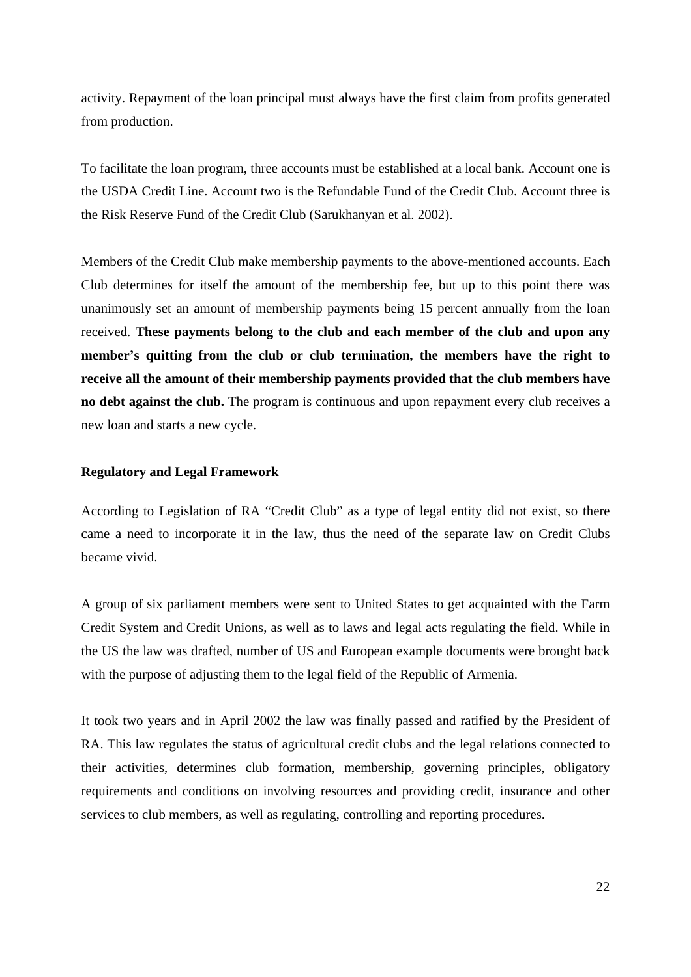activity. Repayment of the loan principal must always have the first claim from profits generated from production.

To facilitate the loan program, three accounts must be established at a local bank. Account one is the USDA Credit Line. Account two is the Refundable Fund of the Credit Club. Account three is the Risk Reserve Fund of the Credit Club (Sarukhanyan et al. 2002).

Members of the Credit Club make membership payments to the above-mentioned accounts. Each Club determines for itself the amount of the membership fee, but up to this point there was unanimously set an amount of membership payments being 15 percent annually from the loan received. **These payments belong to the club and each member of the club and upon any member's quitting from the club or club termination, the members have the right to receive all the amount of their membership payments provided that the club members have no debt against the club.** The program is continuous and upon repayment every club receives a new loan and starts a new cycle.

#### **Regulatory and Legal Framework**

According to Legislation of RA "Credit Club" as a type of legal entity did not exist, so there came a need to incorporate it in the law, thus the need of the separate law on Credit Clubs became vivid.

A group of six parliament members were sent to United States to get acquainted with the Farm Credit System and Credit Unions, as well as to laws and legal acts regulating the field. While in the US the law was drafted, number of US and European example documents were brought back with the purpose of adjusting them to the legal field of the Republic of Armenia.

It took two years and in April 2002 the law was finally passed and ratified by the President of RA. This law regulates the status of agricultural credit clubs and the legal relations connected to their activities, determines club formation, membership, governing principles, obligatory requirements and conditions on involving resources and providing credit, insurance and other services to club members, as well as regulating, controlling and reporting procedures.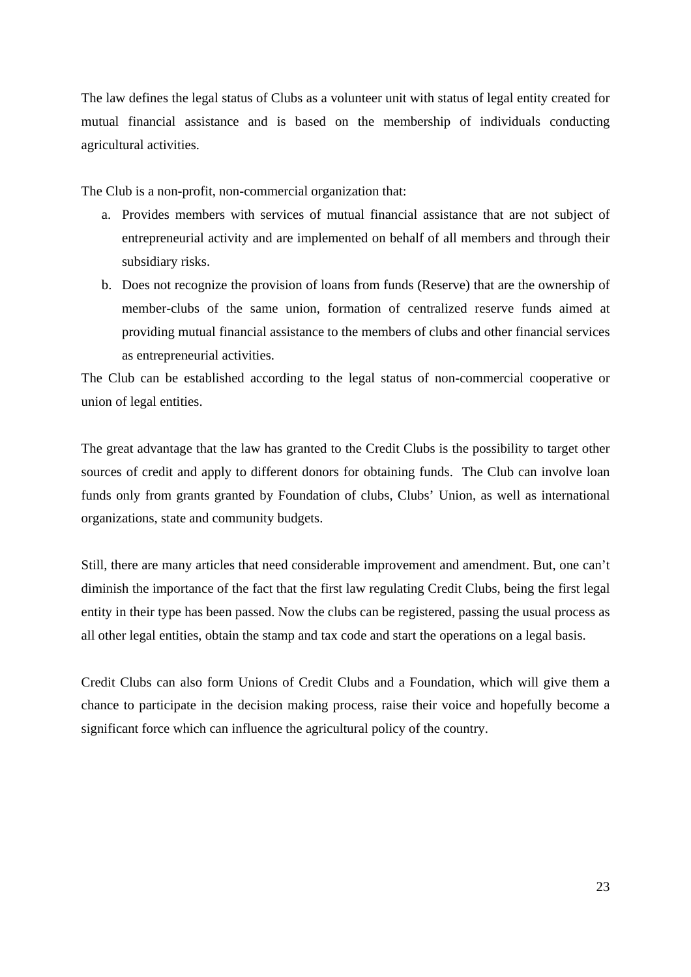The law defines the legal status of Clubs as a volunteer unit with status of legal entity created for mutual financial assistance and is based on the membership of individuals conducting agricultural activities.

The Club is a non-profit, non-commercial organization that:

- a. Provides members with services of mutual financial assistance that are not subject of entrepreneurial activity and are implemented on behalf of all members and through their subsidiary risks.
- b. Does not recognize the provision of loans from funds (Reserve) that are the ownership of member-clubs of the same union, formation of centralized reserve funds aimed at providing mutual financial assistance to the members of clubs and other financial services as entrepreneurial activities.

The Club can be established according to the legal status of non-commercial cooperative or union of legal entities.

The great advantage that the law has granted to the Credit Clubs is the possibility to target other sources of credit and apply to different donors for obtaining funds. The Club can involve loan funds only from grants granted by Foundation of clubs, Clubs' Union, as well as international organizations, state and community budgets.

Still, there are many articles that need considerable improvement and amendment. But, one can't diminish the importance of the fact that the first law regulating Credit Clubs, being the first legal entity in their type has been passed. Now the clubs can be registered, passing the usual process as all other legal entities, obtain the stamp and tax code and start the operations on a legal basis.

Credit Clubs can also form Unions of Credit Clubs and a Foundation, which will give them a chance to participate in the decision making process, raise their voice and hopefully become a significant force which can influence the agricultural policy of the country.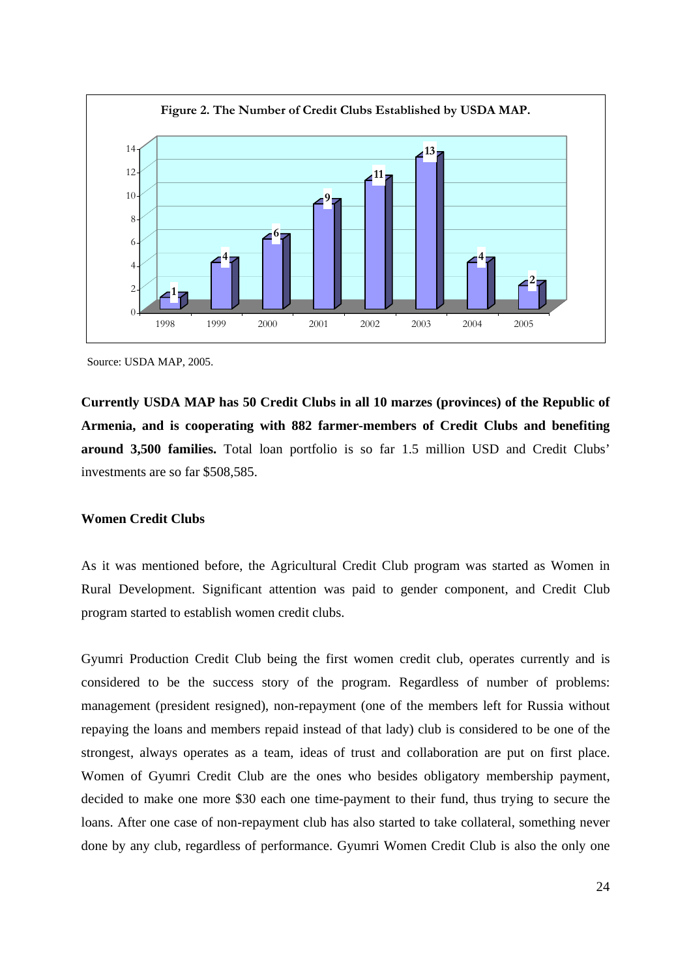

Source: USDA MAP, 2005.

**Currently USDA MAP has 50 Credit Clubs in all 10 marzes (provinces) of the Republic of Armenia, and is cooperating with 882 farmer-members of Credit Clubs and benefiting around 3,500 families.** Total loan portfolio is so far 1.5 million USD and Credit Clubs' investments are so far \$508,585.

## **Women Credit Clubs**

As it was mentioned before, the Agricultural Credit Club program was started as Women in Rural Development. Significant attention was paid to gender component, and Credit Club program started to establish women credit clubs.

Gyumri Production Credit Club being the first women credit club, operates currently and is considered to be the success story of the program. Regardless of number of problems: management (president resigned), non-repayment (one of the members left for Russia without repaying the loans and members repaid instead of that lady) club is considered to be one of the strongest, always operates as a team, ideas of trust and collaboration are put on first place. Women of Gyumri Credit Club are the ones who besides obligatory membership payment, decided to make one more \$30 each one time-payment to their fund, thus trying to secure the loans. After one case of non-repayment club has also started to take collateral, something never done by any club, regardless of performance. Gyumri Women Credit Club is also the only one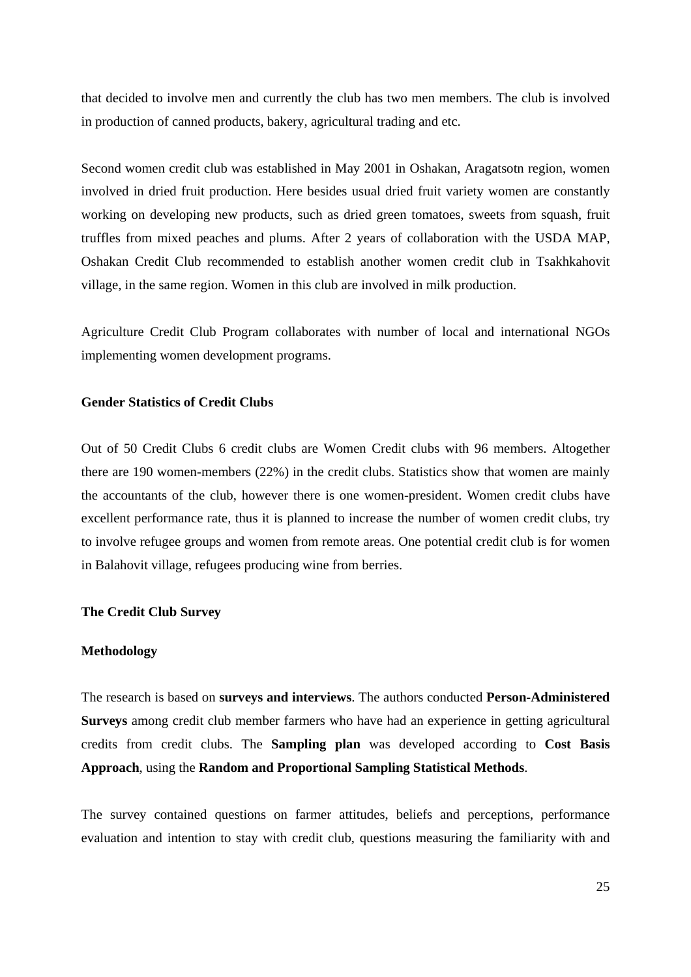that decided to involve men and currently the club has two men members. The club is involved in production of canned products, bakery, agricultural trading and etc.

Second women credit club was established in May 2001 in Oshakan, Aragatsotn region, women involved in dried fruit production. Here besides usual dried fruit variety women are constantly working on developing new products, such as dried green tomatoes, sweets from squash, fruit truffles from mixed peaches and plums. After 2 years of collaboration with the USDA MAP, Oshakan Credit Club recommended to establish another women credit club in Tsakhkahovit village, in the same region. Women in this club are involved in milk production.

Agriculture Credit Club Program collaborates with number of local and international NGOs implementing women development programs.

## **Gender Statistics of Credit Clubs**

Out of 50 Credit Clubs 6 credit clubs are Women Credit clubs with 96 members. Altogether there are 190 women-members (22%) in the credit clubs. Statistics show that women are mainly the accountants of the club, however there is one women-president. Women credit clubs have excellent performance rate, thus it is planned to increase the number of women credit clubs, try to involve refugee groups and women from remote areas. One potential credit club is for women in Balahovit village, refugees producing wine from berries.

#### **The Credit Club Survey**

#### **Methodology**

The research is based on **surveys and interviews**. The authors conducted **Person-Administered Surveys** among credit club member farmers who have had an experience in getting agricultural credits from credit clubs. The **Sampling plan** was developed according to **Cost Basis Approach**, using the **Random and Proportional Sampling Statistical Methods**.

The survey contained questions on farmer attitudes, beliefs and perceptions, performance evaluation and intention to stay with credit club, questions measuring the familiarity with and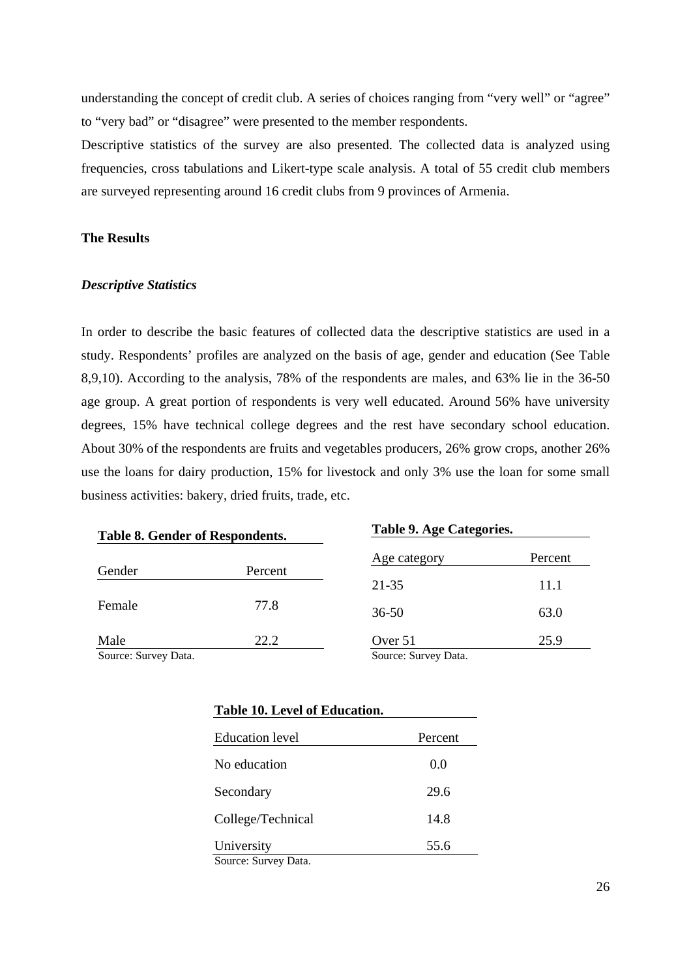understanding the concept of credit club. A series of choices ranging from "very well" or "agree" to "very bad" or "disagree" were presented to the member respondents.

Descriptive statistics of the survey are also presented. The collected data is analyzed using frequencies, cross tabulations and Likert-type scale analysis. A total of 55 credit club members are surveyed representing around 16 credit clubs from 9 provinces of Armenia.

## **The Results**

## *Descriptive Statistics*

In order to describe the basic features of collected data the descriptive statistics are used in a study. Respondents' profiles are analyzed on the basis of age, gender and education (See Table 8,9,10). According to the analysis, 78% of the respondents are males, and 63% lie in the 36-50 age group. A great portion of respondents is very well educated. Around 56% have university degrees, 15% have technical college degrees and the rest have secondary school education. About 30% of the respondents are fruits and vegetables producers, 26% grow crops, another 26% use the loans for dairy production, 15% for livestock and only 3% use the loan for some small business activities: bakery, dried fruits, trade, etc.

| <b>Table 8. Gender of Respondents.</b> |         | Table 9. Age Categories. |         |
|----------------------------------------|---------|--------------------------|---------|
|                                        |         | Age category             | Percent |
| Gender                                 | Percent | 21-35                    | 11.1    |
| Female                                 | 77.8    | $36 - 50$                | 63.0    |
| Male                                   | 22.2    | Over 51                  | 25.9    |
| Source: Survey Data.                   |         | Source: Survey Data.     |         |

| <b>Education level</b> | Percent |
|------------------------|---------|
| No education           | 0.0     |
| Secondary              | 29.6    |
| College/Technical      | 14.8    |
| University             | 55.6    |
| Source: Survey Data.   |         |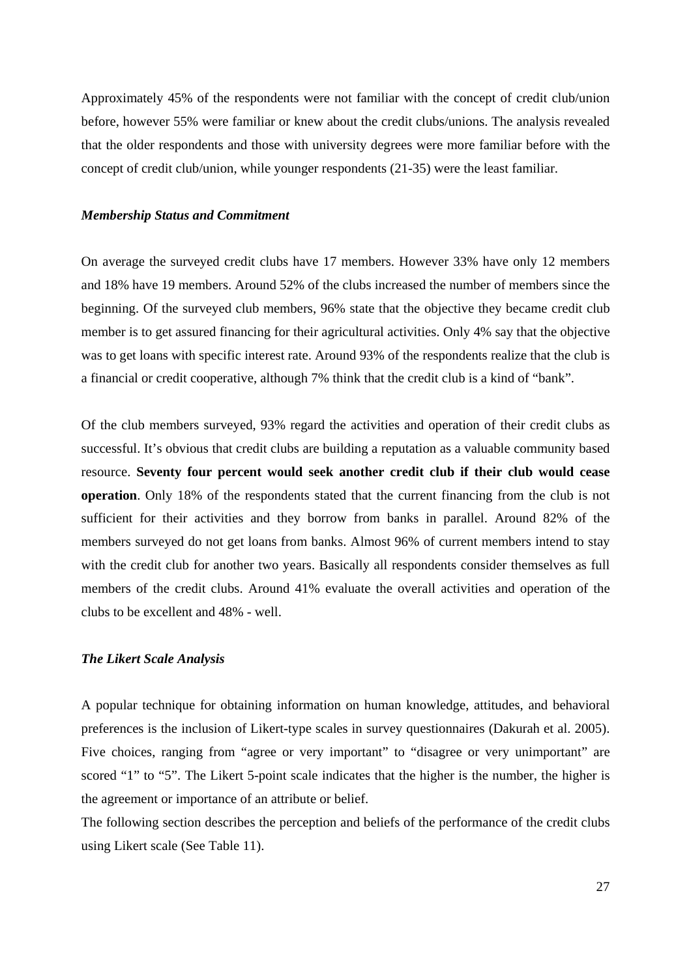Approximately 45% of the respondents were not familiar with the concept of credit club/union before, however 55% were familiar or knew about the credit clubs/unions. The analysis revealed that the older respondents and those with university degrees were more familiar before with the concept of credit club/union, while younger respondents (21-35) were the least familiar.

#### *Membership Status and Commitment*

On average the surveyed credit clubs have 17 members. However 33% have only 12 members and 18% have 19 members. Around 52% of the clubs increased the number of members since the beginning. Of the surveyed club members, 96% state that the objective they became credit club member is to get assured financing for their agricultural activities. Only 4% say that the objective was to get loans with specific interest rate. Around 93% of the respondents realize that the club is a financial or credit cooperative, although 7% think that the credit club is a kind of "bank".

Of the club members surveyed, 93% regard the activities and operation of their credit clubs as successful. It's obvious that credit clubs are building a reputation as a valuable community based resource. **Seventy four percent would seek another credit club if their club would cease operation**. Only 18% of the respondents stated that the current financing from the club is not sufficient for their activities and they borrow from banks in parallel. Around 82% of the members surveyed do not get loans from banks. Almost 96% of current members intend to stay with the credit club for another two years. Basically all respondents consider themselves as full members of the credit clubs. Around 41% evaluate the overall activities and operation of the clubs to be excellent and 48% - well.

## *The Likert Scale Analysis*

A popular technique for obtaining information on human knowledge, attitudes, and behavioral preferences is the inclusion of Likert-type scales in survey questionnaires (Dakurah et al. 2005). Five choices, ranging from "agree or very important" to "disagree or very unimportant" are scored "1" to "5". The Likert 5-point scale indicates that the higher is the number, the higher is the agreement or importance of an attribute or belief.

The following section describes the perception and beliefs of the performance of the credit clubs using Likert scale (See Table 11).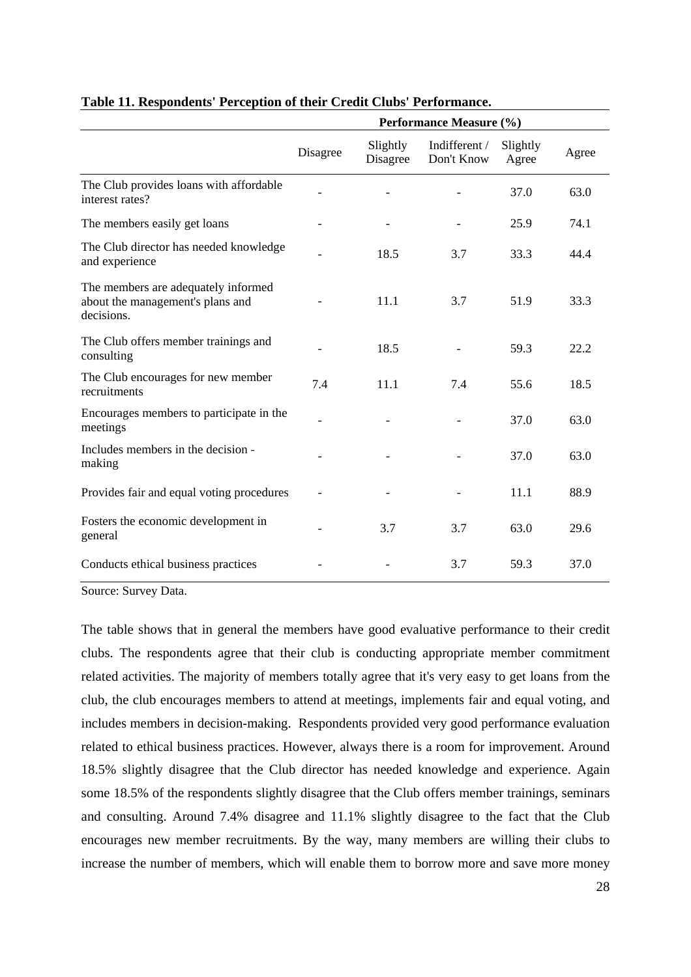|                                                                                       | Performance Measure (%) |                      |                             |                   |       |
|---------------------------------------------------------------------------------------|-------------------------|----------------------|-----------------------------|-------------------|-------|
|                                                                                       | Disagree                | Slightly<br>Disagree | Indifferent /<br>Don't Know | Slightly<br>Agree | Agree |
| The Club provides loans with affordable<br>interest rates?                            |                         |                      |                             | 37.0              | 63.0  |
| The members easily get loans                                                          |                         |                      |                             | 25.9              | 74.1  |
| The Club director has needed knowledge<br>and experience                              |                         | 18.5                 | 3.7                         | 33.3              | 44.4  |
| The members are adequately informed<br>about the management's plans and<br>decisions. |                         | 11.1                 | 3.7                         | 51.9              | 33.3  |
| The Club offers member trainings and<br>consulting                                    |                         | 18.5                 |                             | 59.3              | 22.2  |
| The Club encourages for new member<br>recruitments                                    | 7.4                     | 11.1                 | 7.4                         | 55.6              | 18.5  |
| Encourages members to participate in the<br>meetings                                  |                         |                      |                             | 37.0              | 63.0  |
| Includes members in the decision -<br>making                                          |                         |                      |                             | 37.0              | 63.0  |
| Provides fair and equal voting procedures                                             |                         |                      |                             | 11.1              | 88.9  |
| Fosters the economic development in<br>general                                        |                         | 3.7                  | 3.7                         | 63.0              | 29.6  |
| Conducts ethical business practices                                                   |                         |                      | 3.7                         | 59.3              | 37.0  |

## **Table 11. Respondents' Perception of their Credit Clubs' Performance.**

Source: Survey Data.

The table shows that in general the members have good evaluative performance to their credit clubs. The respondents agree that their club is conducting appropriate member commitment related activities. The majority of members totally agree that it's very easy to get loans from the club, the club encourages members to attend at meetings, implements fair and equal voting, and includes members in decision-making. Respondents provided very good performance evaluation related to ethical business practices. However, always there is a room for improvement. Around 18.5% slightly disagree that the Club director has needed knowledge and experience. Again some 18.5% of the respondents slightly disagree that the Club offers member trainings, seminars and consulting. Around 7.4% disagree and 11.1% slightly disagree to the fact that the Club encourages new member recruitments. By the way, many members are willing their clubs to increase the number of members, which will enable them to borrow more and save more money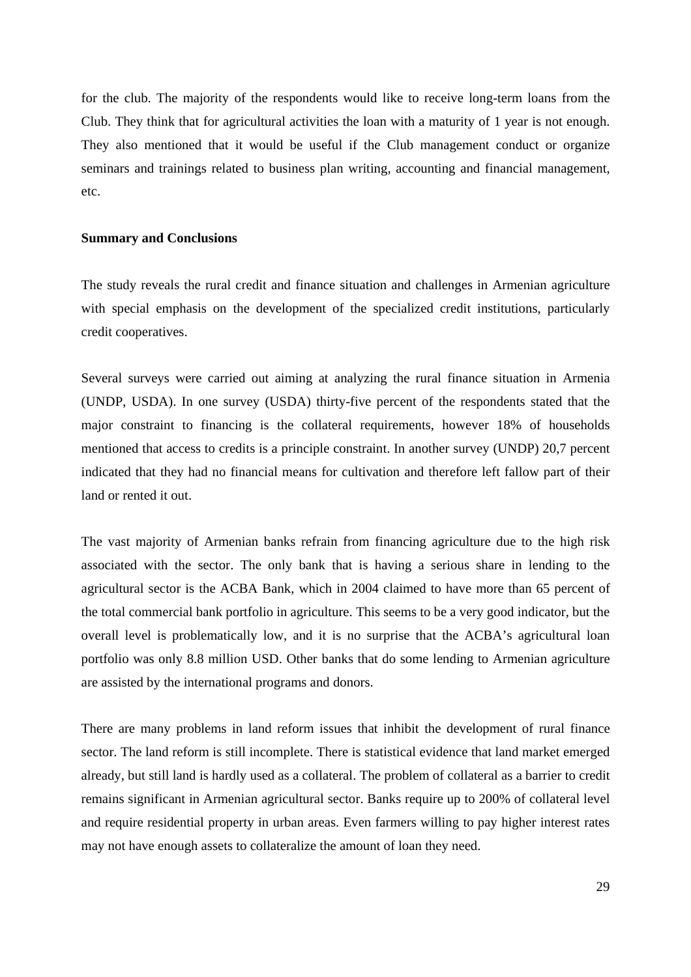for the club. The majority of the respondents would like to receive long-term loans from the Club. They think that for agricultural activities the loan with a maturity of 1 year is not enough. They also mentioned that it would be useful if the Club management conduct or organize seminars and trainings related to business plan writing, accounting and financial management, etc.

## **Summary and Conclusions**

The study reveals the rural credit and finance situation and challenges in Armenian agriculture with special emphasis on the development of the specialized credit institutions, particularly credit cooperatives.

Several surveys were carried out aiming at analyzing the rural finance situation in Armenia (UNDP, USDA). In one survey (USDA) thirty-five percent of the respondents stated that the major constraint to financing is the collateral requirements, however 18% of households mentioned that access to credits is a principle constraint. In another survey (UNDP) 20,7 percent indicated that they had no financial means for cultivation and therefore left fallow part of their land or rented it out.

The vast majority of Armenian banks refrain from financing agriculture due to the high risk associated with the sector. The only bank that is having a serious share in lending to the agricultural sector is the ACBA Bank, which in 2004 claimed to have more than 65 percent of the total commercial bank portfolio in agriculture. This seems to be a very good indicator, but the overall level is problematically low, and it is no surprise that the ACBA's agricultural loan portfolio was only 8.8 million USD. Other banks that do some lending to Armenian agriculture are assisted by the international programs and donors.

There are many problems in land reform issues that inhibit the development of rural finance sector. The land reform is still incomplete. There is statistical evidence that land market emerged already, but still land is hardly used as a collateral. The problem of collateral as a barrier to credit remains significant in Armenian agricultural sector. Banks require up to 200% of collateral level and require residential property in urban areas. Even farmers willing to pay higher interest rates may not have enough assets to collateralize the amount of loan they need.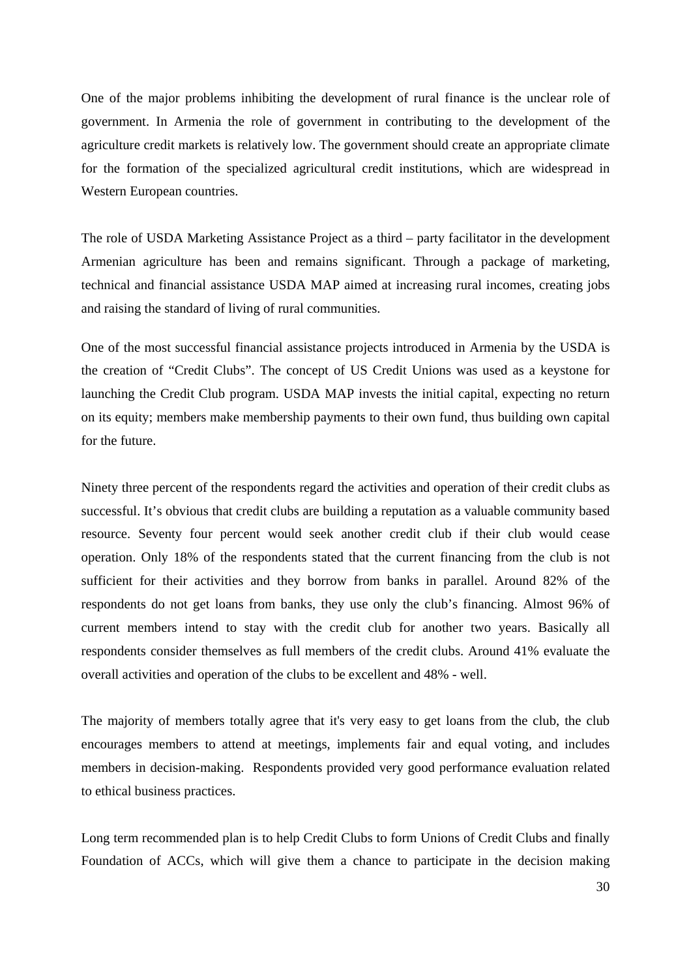One of the major problems inhibiting the development of rural finance is the unclear role of government. In Armenia the role of government in contributing to the development of the agriculture credit markets is relatively low. The government should create an appropriate climate for the formation of the specialized agricultural credit institutions, which are widespread in Western European countries.

The role of USDA Marketing Assistance Project as a third – party facilitator in the development Armenian agriculture has been and remains significant. Through a package of marketing, technical and financial assistance USDA MAP aimed at increasing rural incomes, creating jobs and raising the standard of living of rural communities.

One of the most successful financial assistance projects introduced in Armenia by the USDA is the creation of "Credit Clubs". The concept of US Credit Unions was used as a keystone for launching the Credit Club program. USDA MAP invests the initial capital, expecting no return on its equity; members make membership payments to their own fund, thus building own capital for the future.

Ninety three percent of the respondents regard the activities and operation of their credit clubs as successful. It's obvious that credit clubs are building a reputation as a valuable community based resource. Seventy four percent would seek another credit club if their club would cease operation. Only 18% of the respondents stated that the current financing from the club is not sufficient for their activities and they borrow from banks in parallel. Around 82% of the respondents do not get loans from banks, they use only the club's financing. Almost 96% of current members intend to stay with the credit club for another two years. Basically all respondents consider themselves as full members of the credit clubs. Around 41% evaluate the overall activities and operation of the clubs to be excellent and 48% - well.

The majority of members totally agree that it's very easy to get loans from the club, the club encourages members to attend at meetings, implements fair and equal voting, and includes members in decision-making. Respondents provided very good performance evaluation related to ethical business practices.

Long term recommended plan is to help Credit Clubs to form Unions of Credit Clubs and finally Foundation of ACCs, which will give them a chance to participate in the decision making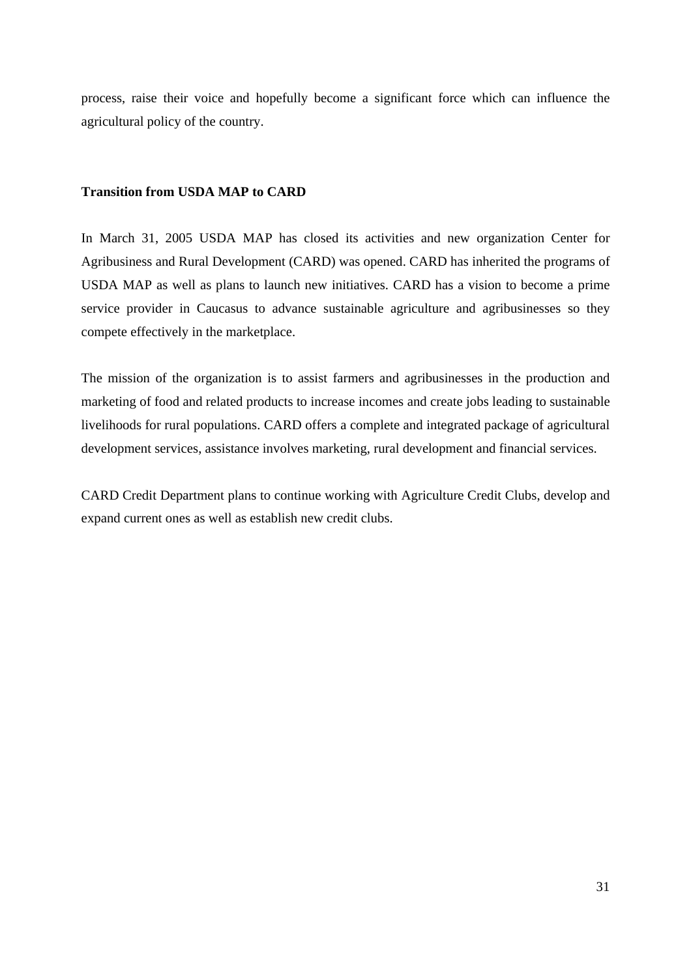process, raise their voice and hopefully become a significant force which can influence the agricultural policy of the country.

## **Transition from USDA MAP to CARD**

In March 31, 2005 USDA MAP has closed its activities and new organization Center for Agribusiness and Rural Development (CARD) was opened. CARD has inherited the programs of USDA MAP as well as plans to launch new initiatives. CARD has a vision to become a prime service provider in Caucasus to advance sustainable agriculture and agribusinesses so they compete effectively in the marketplace.

The mission of the organization is to assist farmers and agribusinesses in the production and marketing of food and related products to increase incomes and create jobs leading to sustainable livelihoods for rural populations. CARD offers a complete and integrated package of agricultural development services, assistance involves marketing, rural development and financial services.

CARD Credit Department plans to continue working with Agriculture Credit Clubs, develop and expand current ones as well as establish new credit clubs.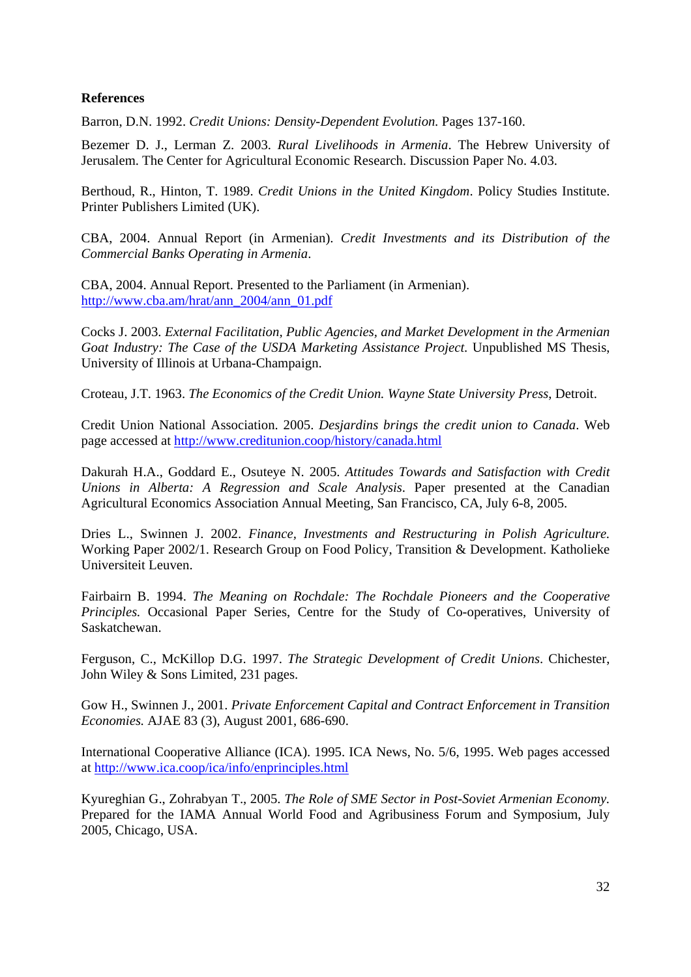## **References**

Barron, D.N. 1992. *Credit Unions: Density-Dependent Evolution.* Pages 137-160.

Bezemer D. J., Lerman Z. 2003. *Rural Livelihoods in Armenia*. The Hebrew University of Jerusalem. The Center for Agricultural Economic Research. Discussion Paper No. 4.03.

Berthoud, R., Hinton, T. 1989. *Credit Unions in the United Kingdom*. Policy Studies Institute. Printer Publishers Limited (UK).

CBA, 2004. Annual Report (in Armenian). *Credit Investments and its Distribution of the Commercial Banks Operating in Armenia*.

CBA, 2004. Annual Report. Presented to the Parliament (in Armenian). http://www.cba.am/hrat/ann\_2004/ann\_01.pdf

Cocks J. 2003. *External Facilitation, Public Agencies, and Market Development in the Armenian Goat Industry: The Case of the USDA Marketing Assistance Project.* Unpublished MS Thesis, University of Illinois at Urbana-Champaign.

Croteau, J.T. 1963. *The Economics of the Credit Union. Wayne State University Press*, Detroit.

Credit Union National Association. 2005. *Desjardins brings the credit union to Canada*. Web page accessed at http://www.creditunion.coop/history/canada.html

Dakurah H.A., Goddard E., Osuteye N. 2005. *Attitudes Towards and Satisfaction with Credit Unions in Alberta: A Regression and Scale Analysis*. Paper presented at the Canadian Agricultural Economics Association Annual Meeting, San Francisco, CA, July 6-8, 2005.

Dries L., Swinnen J. 2002. *Finance, Investments and Restructuring in Polish Agriculture.* Working Paper 2002/1. Research Group on Food Policy, Transition & Development. Katholieke Universiteit Leuven.

Fairbairn B. 1994. *The Meaning on Rochdale: The Rochdale Pioneers and the Cooperative Principles.* Occasional Paper Series, Centre for the Study of Co-operatives, University of Saskatchewan.

Ferguson, C., McKillop D.G. 1997. *The Strategic Development of Credit Unions*. Chichester, John Wiley & Sons Limited, 231 pages.

Gow H., Swinnen J., 2001. *Private Enforcement Capital and Contract Enforcement in Transition Economies.* AJAE 83 (3), August 2001, 686-690.

International Cooperative Alliance (ICA). 1995. ICA News, No. 5/6, 1995. Web pages accessed at http://www.ica.coop/ica/info/enprinciples.html

Kyureghian G., Zohrabyan T., 2005. *The Role of SME Sector in Post-Soviet Armenian Economy.*  Prepared for the IAMA Annual World Food and Agribusiness Forum and Symposium, July 2005, Chicago, USA.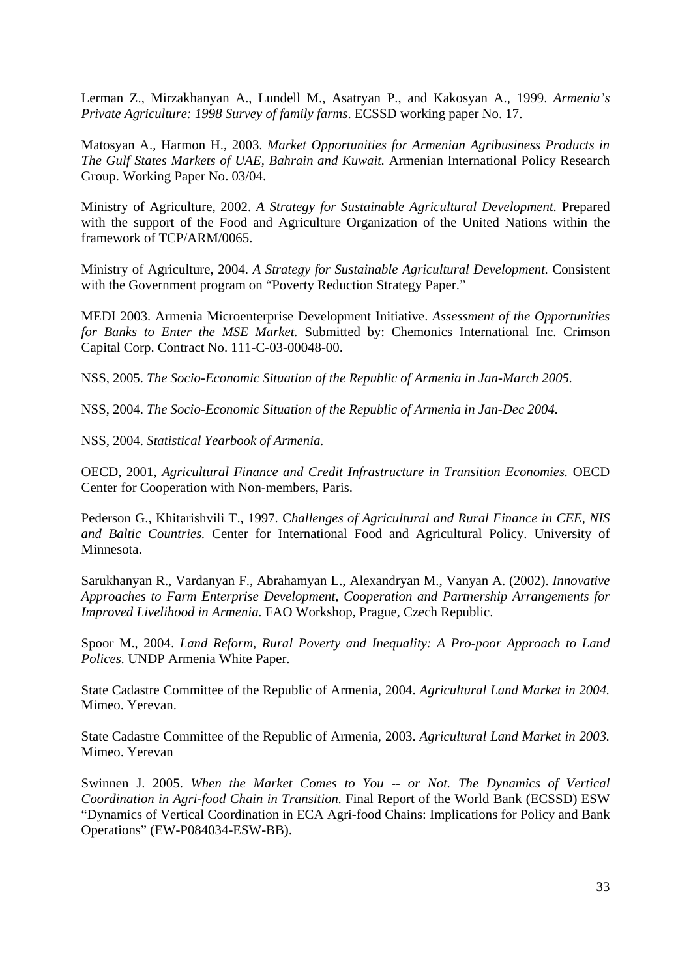Lerman Z., Mirzakhanyan A., Lundell M., Asatryan P., and Kakosyan A., 1999. *Armenia's Private Agriculture: 1998 Survey of family farms*. ECSSD working paper No. 17.

Matosyan A., Harmon H., 2003. *Market Opportunities for Armenian Agribusiness Products in The Gulf States Markets of UAE, Bahrain and Kuwait.* Armenian International Policy Research Group. Working Paper No. 03/04.

Ministry of Agriculture, 2002. *A Strategy for Sustainable Agricultural Development*. Prepared with the support of the Food and Agriculture Organization of the United Nations within the framework of TCP/ARM/0065.

Ministry of Agriculture, 2004. *A Strategy for Sustainable Agricultural Development.* Consistent with the Government program on "Poverty Reduction Strategy Paper."

MEDI 2003. Armenia Microenterprise Development Initiative. *Assessment of the Opportunities for Banks to Enter the MSE Market.* Submitted by: Chemonics International Inc. Crimson Capital Corp. Contract No. 111-C-03-00048-00.

NSS, 2005. *The Socio-Economic Situation of the Republic of Armenia in Jan-March 2005.* 

NSS, 2004. *The Socio-Economic Situation of the Republic of Armenia in Jan-Dec 2004.*

NSS, 2004. *Statistical Yearbook of Armenia.* 

OECD, 2001, *Agricultural Finance and Credit Infrastructure in Transition Economies.* OECD Center for Cooperation with Non-members, Paris.

Pederson G., Khitarishvili T., 1997. C*hallenges of Agricultural and Rural Finance in CEE, NIS and Baltic Countries.* Center for International Food and Agricultural Policy. University of Minnesota.

Sarukhanyan R., Vardanyan F., Abrahamyan L., Alexandryan M., Vanyan A. (2002). *Innovative Approaches to Farm Enterprise Development, Cooperation and Partnership Arrangements for Improved Livelihood in Armenia.* FAO Workshop, Prague, Czech Republic.

Spoor M., 2004. *Land Reform, Rural Poverty and Inequality: A Pro-poor Approach to Land Polices.* UNDP Armenia White Paper.

State Cadastre Committee of the Republic of Armenia, 2004. *Agricultural Land Market in 2004.*  Mimeo. Yerevan.

State Cadastre Committee of the Republic of Armenia, 2003. *Agricultural Land Market in 2003.*  Mimeo. Yerevan

Swinnen J. 2005. *When the Market Comes to You -- or Not. The Dynamics of Vertical Coordination in Agri-food Chain in Transition.* Final Report of the World Bank (ECSSD) ESW "Dynamics of Vertical Coordination in ECA Agri-food Chains: Implications for Policy and Bank Operations" (EW-P084034-ESW-BB).